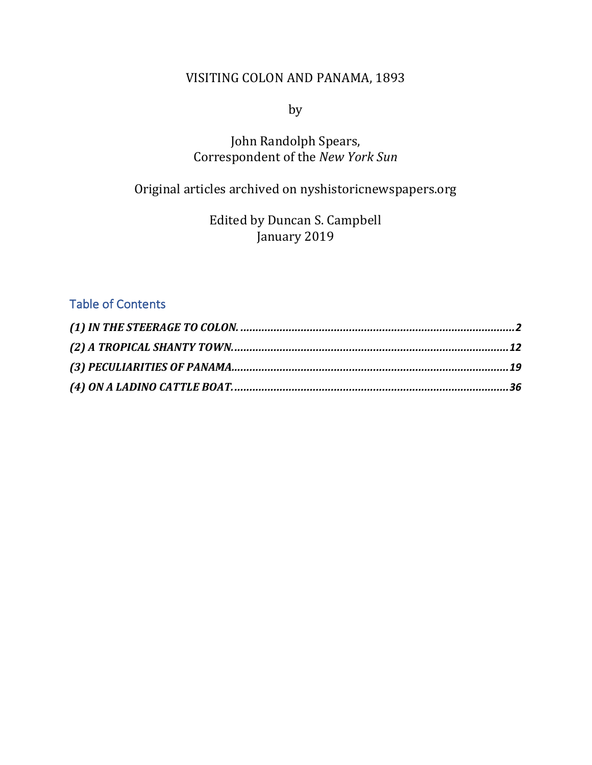### VISITING COLON AND PANAMA, 1893

by

# John Randolph Spears, Correspondent of the *New York Sun*

# Original articles archived on nyshistoricnewspapers.org

Edited by Duncan S. Campbell January 2019

### Table of Contents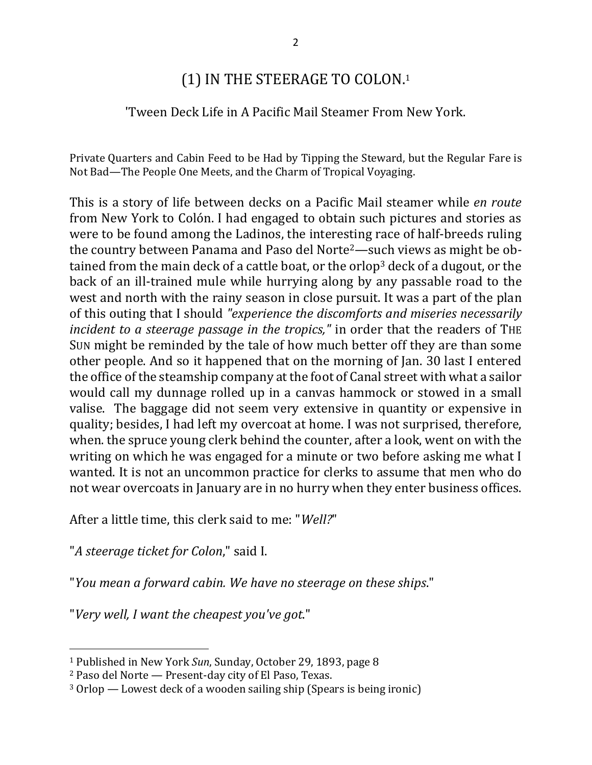# (1) IN THE STEERAGE TO COLON.<sup>1</sup>

### 'Tween Deck Life in A Pacific Mail Steamer From New York.

Private Quarters and Cabin Feed to be Had by Tipping the Steward, but the Regular Fare is Not Bad-The People One Meets, and the Charm of Tropical Voyaging.

This is a story of life between decks on a Pacific Mail steamer while *en route* from New York to Colón. I had engaged to obtain such pictures and stories as were to be found among the Ladinos, the interesting race of half-breeds ruling the country between Panama and Paso del Norte<sup>2</sup>—such views as might be obtained from the main deck of a cattle boat, or the orlop<sup>3</sup> deck of a dugout, or the back of an ill-trained mule while hurrying along by any passable road to the west and north with the rainy season in close pursuit. It was a part of the plan of this outing that I should "experience the discomforts and miseries necessarily *incident to a steerage passage in the tropics,"* in order that the readers of THE SUN might be reminded by the tale of how much better off they are than some other people. And so it happened that on the morning of Jan. 30 last I entered the office of the steamship company at the foot of Canal street with what a sailor would call my dunnage rolled up in a canvas hammock or stowed in a small valise. The baggage did not seem very extensive in quantity or expensive in quality; besides, I had left my overcoat at home. I was not surprised, therefore, when, the spruce young clerk behind the counter, after a look, went on with the writing on which he was engaged for a minute or two before asking me what I wanted. It is not an uncommon practice for clerks to assume that men who do not wear overcoats in January are in no hurry when they enter business offices.

After a little time, this clerk said to me: "*Well?*"

"*A steerage ticket for Colon*," said I.

 $\overline{a}$ 

"You mean a forward cabin. We have no steerage on these ships."

"*Very well, I want the cheapest you've got*."

<sup>&</sup>lt;sup>1</sup> Published in New York *Sun*, Sunday, October 29, 1893, page 8

 $2$  Paso del Norte — Present-day city of El Paso, Texas.

 $3$  Orlop — Lowest deck of a wooden sailing ship (Spears is being ironic)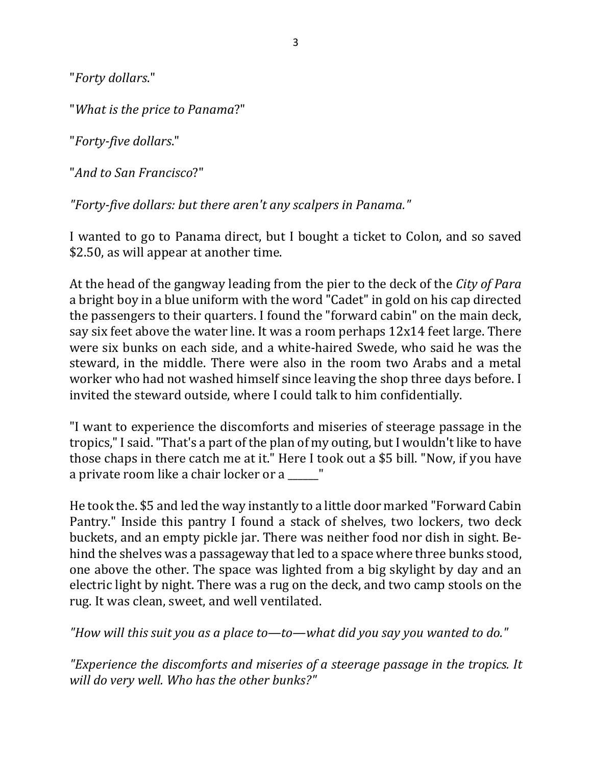"*Forty dollars*."

"What is the price to Panama?"

"*Forty-five dollars*."

"*And to San Francisco*?"

"Forty-five dollars: but there aren't any scalpers in Panama."

I wanted to go to Panama direct, but I bought a ticket to Colon, and so saved \$2.50, as will appear at another time.

At the head of the gangway leading from the pier to the deck of the *City of Para* a bright boy in a blue uniform with the word "Cadet" in gold on his cap directed the passengers to their quarters. I found the "forward cabin" on the main deck, say six feet above the water line. It was a room perhaps  $12x14$  feet large. There were six bunks on each side, and a white-haired Swede, who said he was the steward, in the middle. There were also in the room two Arabs and a metal worker who had not washed himself since leaving the shop three days before. I invited the steward outside, where I could talk to him confidentially.

"I want to experience the discomforts and miseries of steerage passage in the tropics," I said. "That's a part of the plan of my outing, but I wouldn't like to have those chaps in there catch me at it." Here I took out a \$5 bill. "Now, if you have a private room like a chair locker or a \_\_\_\_\_"

He took the. \$5 and led the way instantly to a little door marked "Forward Cabin Pantry." Inside this pantry I found a stack of shelves, two lockers, two deck buckets, and an empty pickle jar. There was neither food nor dish in sight. Behind the shelves was a passageway that led to a space where three bunks stood, one above the other. The space was lighted from a big skylight by day and an electric light by night. There was a rug on the deck, and two camp stools on the rug. It was clean, sweet, and well ventilated.

"How will this suit you as a place to—to—what did you say you wanted to do."

*"Experience the discomforts and miseries of a steerage passage in the tropics. It* will do very well. Who has the other bunks?"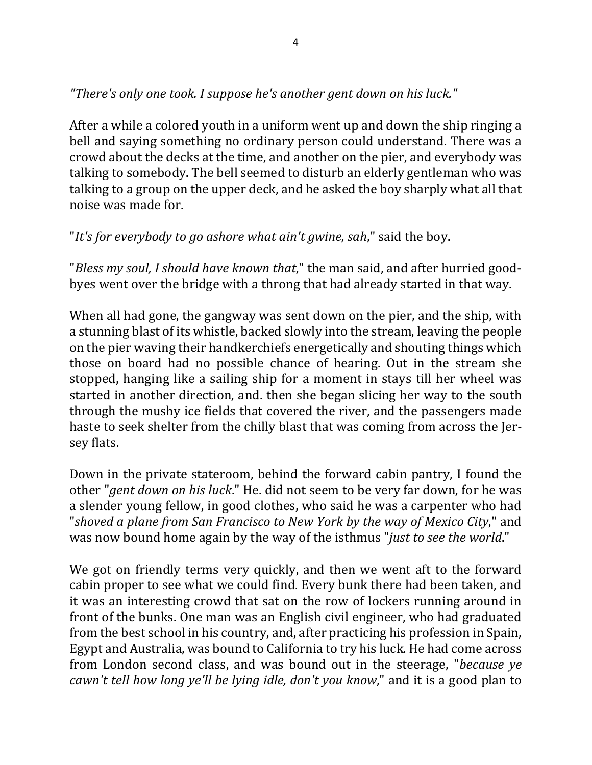"There's only one took. I suppose he's another gent down on his luck."

After a while a colored youth in a uniform went up and down the ship ringing a bell and saying something no ordinary person could understand. There was a crowd about the decks at the time, and another on the pier, and everybody was talking to somebody. The bell seemed to disturb an elderly gentleman who was talking to a group on the upper deck, and he asked the boy sharply what all that noise was made for.

"It's for everybody to go ashore what ain't gwine, sah," said the boy.

"*Bless my soul, I should have known that*," the man said, and after hurried goodbyes went over the bridge with a throng that had already started in that way.

When all had gone, the gangway was sent down on the pier, and the ship, with a stunning blast of its whistle, backed slowly into the stream, leaving the people on the pier waving their handkerchiefs energetically and shouting things which those on board had no possible chance of hearing. Out in the stream she stopped, hanging like a sailing ship for a moment in stays till her wheel was started in another direction, and. then she began slicing her way to the south through the mushy ice fields that covered the river, and the passengers made haste to seek shelter from the chilly blast that was coming from across the Jersey flats.

Down in the private stateroom, behind the forward cabin pantry, I found the other "*gent down on his luck*." He. did not seem to be very far down, for he was a slender young fellow, in good clothes, who said he was a carpenter who had "shoved a plane from San Francisco to New York by the way of Mexico City," and was now bound home again by the way of the isthmus "*just to see the world*."

We got on friendly terms very quickly, and then we went aft to the forward cabin proper to see what we could find. Every bunk there had been taken, and it was an interesting crowd that sat on the row of lockers running around in front of the bunks. One man was an English civil engineer, who had graduated from the best school in his country, and, after practicing his profession in Spain, Egypt and Australia, was bound to California to try his luck. He had come across from London second class, and was bound out in the steerage, "*because ye cawn't tell how long ye'll be lying idle, don't you know*," and it is a good plan to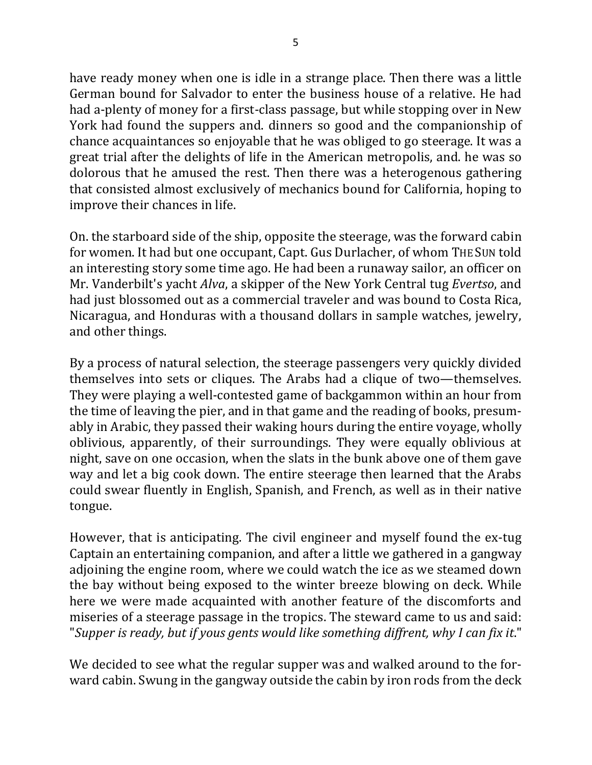have ready money when one is idle in a strange place. Then there was a little German bound for Salvador to enter the business house of a relative. He had had a-plenty of money for a first-class passage, but while stopping over in New York had found the suppers and. dinners so good and the companionship of chance acquaintances so enjoyable that he was obliged to go steerage. It was a great trial after the delights of life in the American metropolis, and. he was so dolorous that he amused the rest. Then there was a heterogenous gathering that consisted almost exclusively of mechanics bound for California, hoping to improve their chances in life.

On. the starboard side of the ship, opposite the steerage, was the forward cabin for women. It had but one occupant, Capt. Gus Durlacher, of whom THE SUN told an interesting story some time ago. He had been a runaway sailor, an officer on Mr. Vanderbilt's yacht *Alva*, a skipper of the New York Central tug *Evertso*, and had just blossomed out as a commercial traveler and was bound to Costa Rica, Nicaragua, and Honduras with a thousand dollars in sample watches, jewelry, and other things.

By a process of natural selection, the steerage passengers very quickly divided themselves into sets or cliques. The Arabs had a clique of two—themselves. They were playing a well-contested game of backgammon within an hour from the time of leaving the pier, and in that game and the reading of books, presumably in Arabic, they passed their waking hours during the entire voyage, wholly oblivious, apparently, of their surroundings. They were equally oblivious at night, save on one occasion, when the slats in the bunk above one of them gave way and let a big cook down. The entire steerage then learned that the Arabs could swear fluently in English, Spanish, and French, as well as in their native tongue.

However, that is anticipating. The civil engineer and myself found the ex-tug Captain an entertaining companion, and after a little we gathered in a gangway adjoining the engine room, where we could watch the ice as we steamed down the bay without being exposed to the winter breeze blowing on deck. While here we were made acquainted with another feature of the discomforts and miseries of a steerage passage in the tropics. The steward came to us and said: "Supper is ready, but if yous gents would like something diffrent, why I can fix it."

We decided to see what the regular supper was and walked around to the forward cabin. Swung in the gangway outside the cabin by iron rods from the deck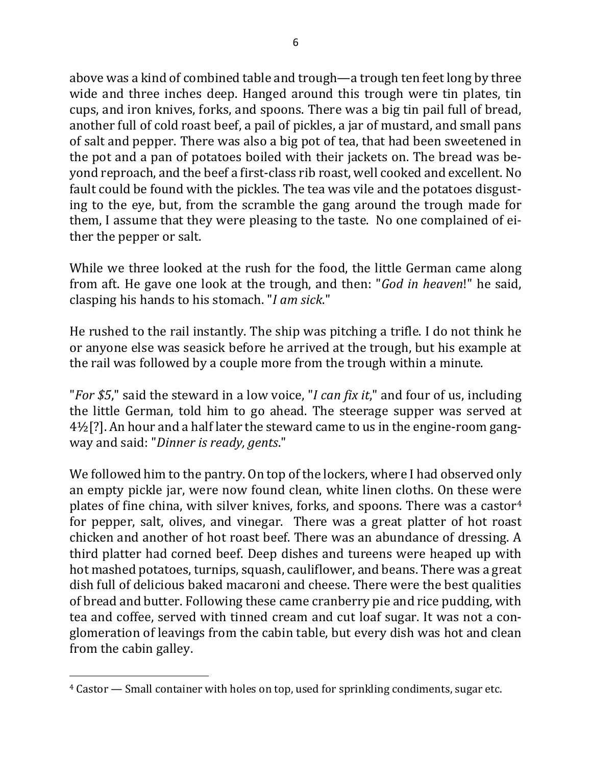above was a kind of combined table and trough—a trough ten feet long by three wide and three inches deep. Hanged around this trough were tin plates, tin cups, and iron knives, forks, and spoons. There was a big tin pail full of bread, another full of cold roast beef, a pail of pickles, a jar of mustard, and small pans of salt and pepper. There was also a big pot of tea, that had been sweetened in the pot and a pan of potatoes boiled with their jackets on. The bread was beyond reproach, and the beef a first-class rib roast, well cooked and excellent. No fault could be found with the pickles. The tea was vile and the potatoes disgusting to the eye, but, from the scramble the gang around the trough made for them, I assume that they were pleasing to the taste. No one complained of either the pepper or salt.

While we three looked at the rush for the food, the little German came along from aft. He gave one look at the trough, and then: "*God in heaven*!" he said, clasping his hands to his stomach. "*I am sick*."

He rushed to the rail instantly. The ship was pitching a trifle. I do not think he or anyone else was seasick before he arrived at the trough, but his example at the rail was followed by a couple more from the trough within a minute.

"*For* \$5," said the steward in a low voice, "*I can fix it*," and four of us, including the little German, told him to go ahead. The steerage supper was served at  $4\frac{1}{2}$ [?]. An hour and a half later the steward came to us in the engine-room gangway and said: "*Dinner is ready, gents*."

We followed him to the pantry. On top of the lockers, where I had observed only an empty pickle jar, were now found clean, white linen cloths. On these were plates of fine china, with silver knives, forks, and spoons. There was a castor<sup>4</sup> for pepper, salt, olives, and vinegar. There was a great platter of hot roast chicken and another of hot roast beef. There was an abundance of dressing. A third platter had corned beef. Deep dishes and tureens were heaped up with hot mashed potatoes, turnips, squash, cauliflower, and beans. There was a great dish full of delicious baked macaroni and cheese. There were the best qualities of bread and butter. Following these came cranberry pie and rice pudding, with tea and coffee, served with tinned cream and cut loaf sugar. It was not a conglomeration of leavings from the cabin table, but every dish was hot and clean from the cabin galley.

 $4$  Castor  $-$  Small container with holes on top, used for sprinkling condiments, sugar etc.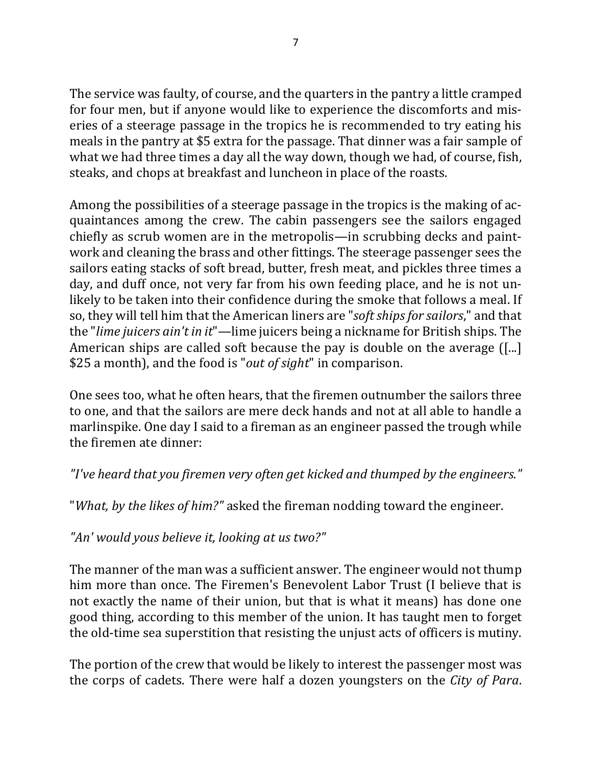The service was faulty, of course, and the quarters in the pantry a little cramped for four men, but if anyone would like to experience the discomforts and miseries of a steerage passage in the tropics he is recommended to try eating his meals in the pantry at \$5 extra for the passage. That dinner was a fair sample of what we had three times a day all the way down, though we had, of course, fish, steaks, and chops at breakfast and luncheon in place of the roasts.

Among the possibilities of a steerage passage in the tropics is the making of acquaintances among the crew. The cabin passengers see the sailors engaged chiefly as scrub women are in the metropolis—in scrubbing decks and paintwork and cleaning the brass and other fittings. The steerage passenger sees the sailors eating stacks of soft bread, butter, fresh meat, and pickles three times a day, and duff once, not very far from his own feeding place, and he is not unlikely to be taken into their confidence during the smoke that follows a meal. If so, they will tell him that the American liners are "*soft ships for sailors*," and that the "*lime juicers ain't in it*"—lime juicers being a nickname for British ships. The American ships are called soft because the pay is double on the average  $([-$ ...] \$25 a month), and the food is "*out of sight*" in comparison.

One sees too, what he often hears, that the firemen outnumber the sailors three to one, and that the sailors are mere deck hands and not at all able to handle a marlinspike. One day I said to a fireman as an engineer passed the trough while the firemen ate dinner:

*"I've heard that you firemen very often get kicked and thumped by the engineers."*

"*What, by the likes of him?"* asked the fireman nodding toward the engineer.

*"An' would yous believe it, looking at us two?"*

The manner of the man was a sufficient answer. The engineer would not thump him more than once. The Firemen's Benevolent Labor Trust (I believe that is not exactly the name of their union, but that is what it means) has done one good thing, according to this member of the union. It has taught men to forget the old-time sea superstition that resisting the unjust acts of officers is mutiny.

The portion of the crew that would be likely to interest the passenger most was the corps of cadets. There were half a dozen voungsters on the *City of Para*.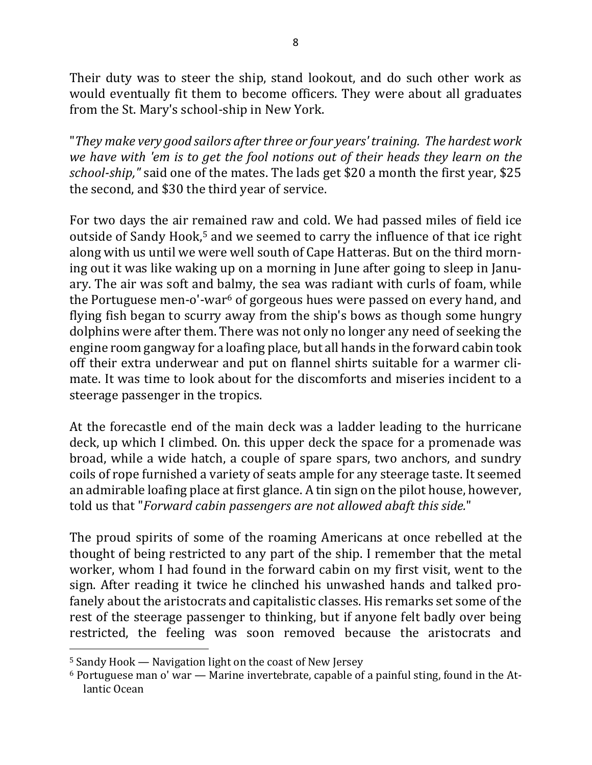Their duty was to steer the ship, stand lookout, and do such other work as would eventually fit them to become officers. They were about all graduates from the St. Mary's school-ship in New York.

"*They make very good sailors after three or four years' training. The hardest work we have with 'em is to get the fool notions out of their heads they learn on the school-ship,*" said one of the mates. The lads get \$20 a month the first year, \$25 the second, and \$30 the third year of service.

For two days the air remained raw and cold. We had passed miles of field ice outside of Sandy Hook,<sup>5</sup> and we seemed to carry the influence of that ice right along with us until we were well south of Cape Hatteras. But on the third morning out it was like waking up on a morning in June after going to sleep in January. The air was soft and balmy, the sea was radiant with curls of foam, while the Portuguese men-o'-war<sup>6</sup> of gorgeous hues were passed on every hand, and flying fish began to scurry away from the ship's bows as though some hungry dolphins were after them. There was not only no longer any need of seeking the engine room gangway for a loafing place, but all hands in the forward cabin took off their extra underwear and put on flannel shirts suitable for a warmer climate. It was time to look about for the discomforts and miseries incident to a steerage passenger in the tropics.

At the forecastle end of the main deck was a ladder leading to the hurricane deck, up which I climbed. On. this upper deck the space for a promenade was broad, while a wide hatch, a couple of spare spars, two anchors, and sundry coils of rope furnished a variety of seats ample for any steerage taste. It seemed an admirable loafing place at first glance. A tin sign on the pilot house, however, told us that "*Forward cabin passengers are not allowed abaft this side.*"

The proud spirits of some of the roaming Americans at once rebelled at the thought of being restricted to any part of the ship. I remember that the metal worker, whom I had found in the forward cabin on my first visit, went to the sign. After reading it twice he clinched his unwashed hands and talked profanely about the aristocrats and capitalistic classes. His remarks set some of the rest of the steerage passenger to thinking, but if anyone felt badly over being restricted, the feeling was soon removed because the aristocrats and

 $5$  Sandy Hook — Navigation light on the coast of New Jersey

 $6$  Portuguese man o' war — Marine invertebrate, capable of a painful sting, found in the Atlantic Ocean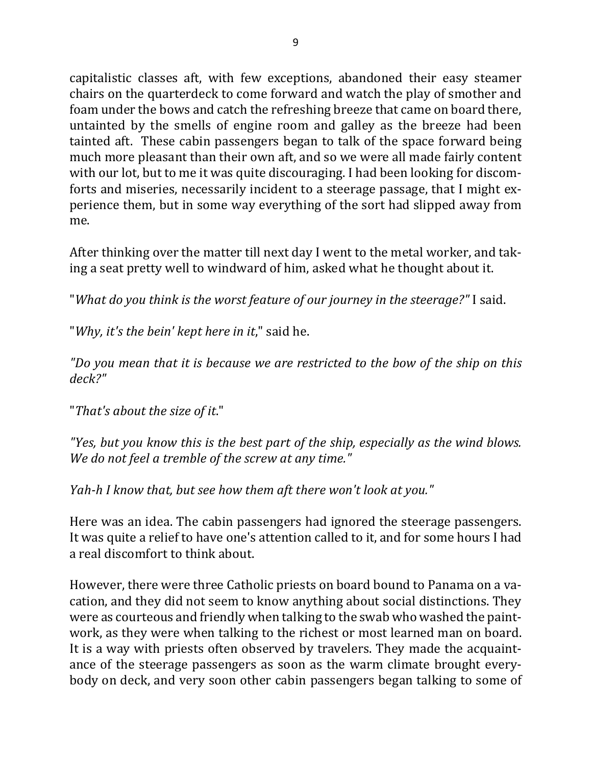capitalistic classes aft, with few exceptions, abandoned their easy steamer chairs on the quarterdeck to come forward and watch the play of smother and foam under the bows and catch the refreshing breeze that came on board there, untainted by the smells of engine room and galley as the breeze had been tainted aft. These cabin passengers began to talk of the space forward being much more pleasant than their own aft, and so we were all made fairly content with our lot, but to me it was quite discouraging. I had been looking for discomforts and miseries, necessarily incident to a steerage passage, that I might experience them, but in some way everything of the sort had slipped away from me.

After thinking over the matter till next day I went to the metal worker, and taking a seat pretty well to windward of him, asked what he thought about it.

"What do you think is the worst feature of our journey in the steerage?" I said.

"Why, it's the bein' kept here in it," said he.

*"Do you mean that it is because we are restricted to the bow of the ship on this deck?"*

"That's about the size of it."

"Yes, but you know this is the best part of the ship, especially as the wind blows. *We do not feel a tremble of the screw at any time."* 

*Yah-h I know that, but see how them aft there won't look at you."* 

Here was an idea. The cabin passengers had ignored the steerage passengers. It was quite a relief to have one's attention called to it, and for some hours I had a real discomfort to think about.

However, there were three Catholic priests on board bound to Panama on a vacation, and they did not seem to know anything about social distinctions. They were as courteous and friendly when talking to the swab who washed the paintwork, as they were when talking to the richest or most learned man on board. It is a way with priests often observed by travelers. They made the acquaintance of the steerage passengers as soon as the warm climate brought everybody on deck, and very soon other cabin passengers began talking to some of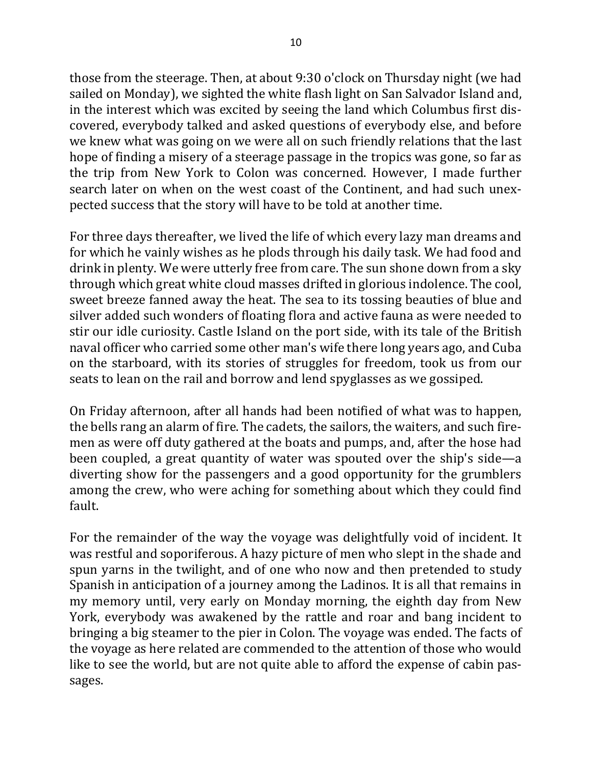those from the steerage. Then, at about 9:30 o'clock on Thursday night (we had sailed on Monday), we sighted the white flash light on San Salvador Island and, in the interest which was excited by seeing the land which Columbus first discovered, everybody talked and asked questions of everybody else, and before we knew what was going on we were all on such friendly relations that the last hope of finding a misery of a steerage passage in the tropics was gone, so far as the trip from New York to Colon was concerned. However, I made further search later on when on the west coast of the Continent, and had such unexpected success that the story will have to be told at another time.

For three days thereafter, we lived the life of which every lazy man dreams and for which he vainly wishes as he plods through his daily task. We had food and drink in plenty. We were utterly free from care. The sun shone down from a sky through which great white cloud masses drifted in glorious indolence. The cool, sweet breeze fanned away the heat. The sea to its tossing beauties of blue and silver added such wonders of floating flora and active fauna as were needed to stir our idle curiosity. Castle Island on the port side, with its tale of the British naval officer who carried some other man's wife there long years ago, and Cuba on the starboard, with its stories of struggles for freedom, took us from our seats to lean on the rail and borrow and lend spyglasses as we gossiped.

On Friday afternoon, after all hands had been notified of what was to happen, the bells rang an alarm of fire. The cadets, the sailors, the waiters, and such firemen as were off duty gathered at the boats and pumps, and, after the hose had been coupled, a great quantity of water was spouted over the ship's side—a diverting show for the passengers and a good opportunity for the grumblers among the crew, who were aching for something about which they could find fault.

For the remainder of the way the voyage was delightfully void of incident. It was restful and soporiferous. A hazy picture of men who slept in the shade and spun yarns in the twilight, and of one who now and then pretended to study Spanish in anticipation of a journey among the Ladinos. It is all that remains in my memory until, very early on Monday morning, the eighth day from New York, everybody was awakened by the rattle and roar and bang incident to bringing a big steamer to the pier in Colon. The voyage was ended. The facts of the voyage as here related are commended to the attention of those who would like to see the world, but are not quite able to afford the expense of cabin passages.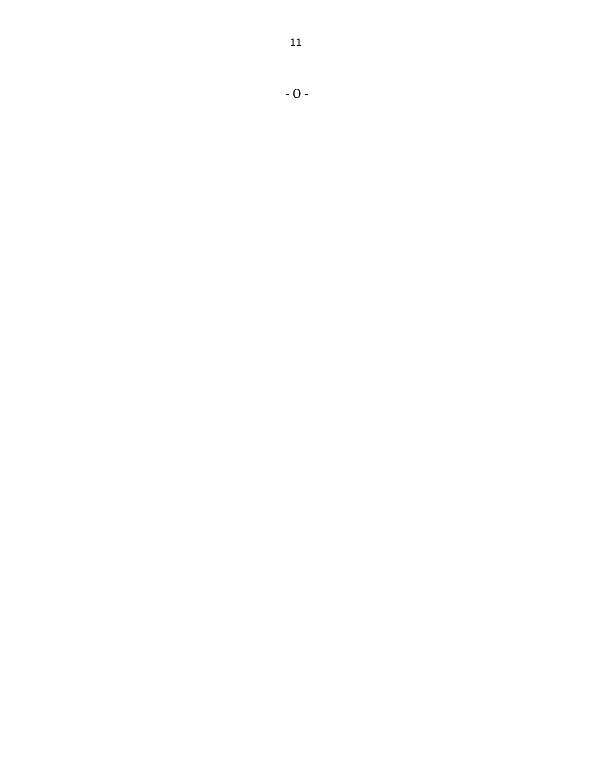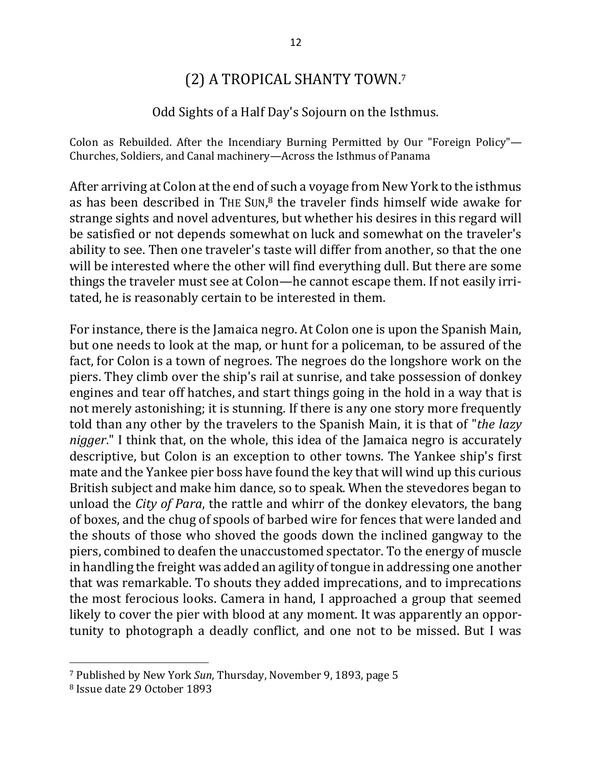# (2) A TROPICAL SHANTY TOWN.7

### Odd Sights of a Half Day's Sojourn on the Isthmus.

Colon as Rebuilded. After the Incendiary Burning Permitted by Our "Foreign Policy"— Churches, Soldiers, and Canal machinery—Across the Isthmus of Panama

After arriving at Colon at the end of such a voyage from New York to the isthmus as has been described in THE SUN, $^8$  the traveler finds himself wide awake for strange sights and novel adventures, but whether his desires in this regard will be satisfied or not depends somewhat on luck and somewhat on the traveler's ability to see. Then one traveler's taste will differ from another, so that the one will be interested where the other will find everything dull. But there are some things the traveler must see at Colon—he cannot escape them. If not easily irritated, he is reasonably certain to be interested in them.

For instance, there is the Jamaica negro. At Colon one is upon the Spanish Main, but one needs to look at the map, or hunt for a policeman, to be assured of the fact, for Colon is a town of negroes. The negroes do the longshore work on the piers. They climb over the ship's rail at sunrise, and take possession of donkey engines and tear off hatches, and start things going in the hold in a way that is not merely astonishing; it is stunning. If there is any one story more frequently told than any other by the travelers to the Spanish Main, it is that of "*the lazy nigger*." I think that, on the whole, this idea of the Jamaica negro is accurately descriptive, but Colon is an exception to other towns. The Yankee ship's first mate and the Yankee pier boss have found the key that will wind up this curious British subject and make him dance, so to speak. When the stevedores began to unload the *City of Para*, the rattle and whirr of the donkey elevators, the bang of boxes, and the chug of spools of barbed wire for fences that were landed and the shouts of those who shoved the goods down the inclined gangway to the piers, combined to deafen the unaccustomed spectator. To the energy of muscle in handling the freight was added an agility of tongue in addressing one another that was remarkable. To shouts they added imprecations, and to imprecations the most ferocious looks. Camera in hand, I approached a group that seemed likely to cover the pier with blood at any moment. It was apparently an opportunity to photograph a deadly conflict, and one not to be missed. But I was

<sup>&</sup>lt;sup>7</sup> Published by New York *Sun*, Thursday, November 9, 1893, page 5

<sup>8</sup> Issue date 29 October 1893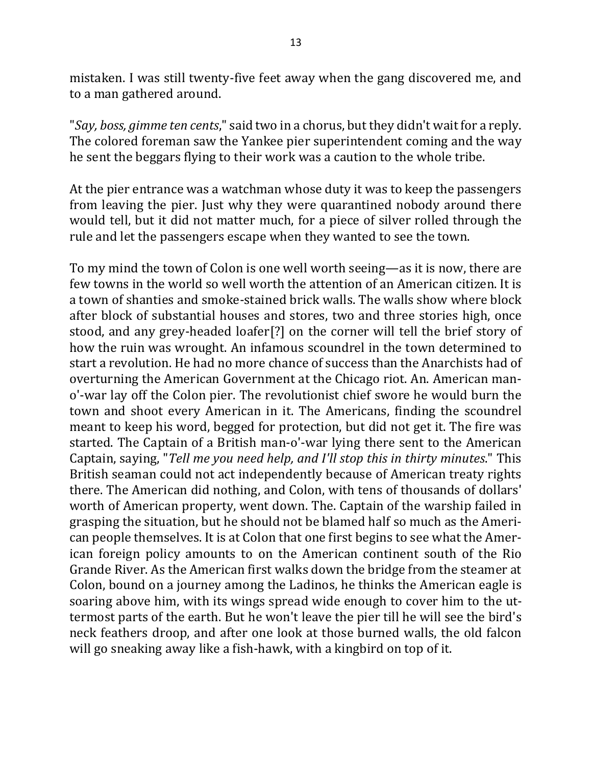mistaken. I was still twenty-five feet away when the gang discovered me, and to a man gathered around.

"*Say, boss, gimme ten cents*," said two in a chorus, but they didn't wait for a reply. The colored foreman saw the Yankee pier superintendent coming and the way he sent the beggars flying to their work was a caution to the whole tribe.

At the pier entrance was a watchman whose duty it was to keep the passengers from leaving the pier. Just why they were quarantined nobody around there would tell, but it did not matter much, for a piece of silver rolled through the rule and let the passengers escape when they wanted to see the town.

To my mind the town of Colon is one well worth seeing—as it is now, there are few towns in the world so well worth the attention of an American citizen. It is a town of shanties and smoke-stained brick walls. The walls show where block after block of substantial houses and stores, two and three stories high, once stood, and any grey-headed loafer[?] on the corner will tell the brief story of how the ruin was wrought. An infamous scoundrel in the town determined to start a revolution. He had no more chance of success than the Anarchists had of overturning the American Government at the Chicago riot. An. American mano'-war lay off the Colon pier. The revolutionist chief swore he would burn the town and shoot every American in it. The Americans, finding the scoundrel meant to keep his word, begged for protection, but did not get it. The fire was started. The Captain of a British man-o'-war lying there sent to the American Captain, saying, "*Tell me you need help, and I'll stop this in thirty minutes*." This British seaman could not act independently because of American treaty rights there. The American did nothing, and Colon, with tens of thousands of dollars' worth of American property, went down. The. Captain of the warship failed in grasping the situation, but he should not be blamed half so much as the American people themselves. It is at Colon that one first begins to see what the American foreign policy amounts to on the American continent south of the Rio Grande River. As the American first walks down the bridge from the steamer at Colon, bound on a journey among the Ladinos, he thinks the American eagle is soaring above him, with its wings spread wide enough to cover him to the uttermost parts of the earth. But he won't leave the pier till he will see the bird's neck feathers droop, and after one look at those burned walls, the old falcon will go sneaking away like a fish-hawk, with a kingbird on top of it.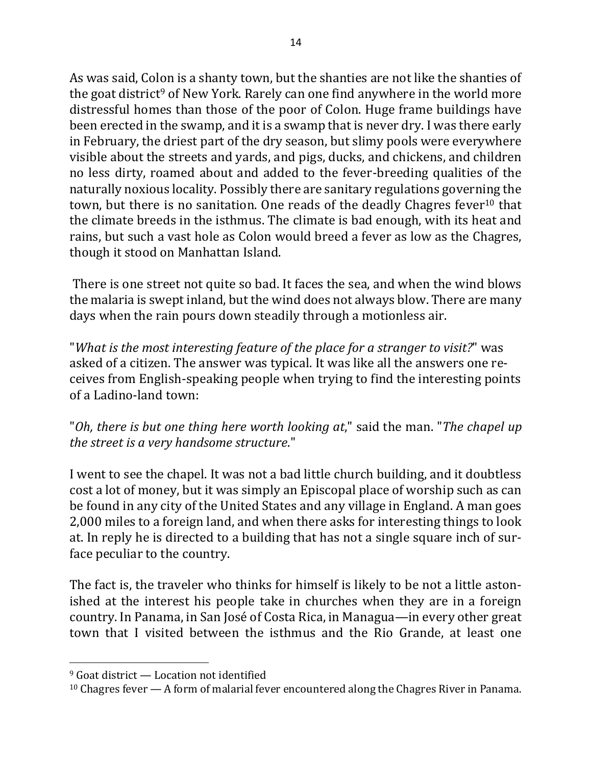As was said, Colon is a shanty town, but the shanties are not like the shanties of the goat district<sup>9</sup> of New York. Rarely can one find anywhere in the world more distressful homes than those of the poor of Colon. Huge frame buildings have been erected in the swamp, and it is a swamp that is never dry. I was there early in February, the driest part of the dry season, but slimy pools were everywhere visible about the streets and yards, and pigs, ducks, and chickens, and children no less dirty, roamed about and added to the fever-breeding qualities of the naturally noxious locality. Possibly there are sanitary regulations governing the town, but there is no sanitation. One reads of the deadly Chagres fever<sup>10</sup> that the climate breeds in the isthmus. The climate is bad enough, with its heat and rains, but such a vast hole as Colon would breed a fever as low as the Chagres, though it stood on Manhattan Island.

There is one street not quite so bad. It faces the sea, and when the wind blows the malaria is swept inland, but the wind does not always blow. There are many days when the rain pours down steadily through a motionless air.

"What is the most interesting feature of the place for a stranger to visit?" was asked of a citizen. The answer was typical. It was like all the answers one receives from English-speaking people when trying to find the interesting points of a Ladino-land town:

"Oh, there is but one thing here worth looking at," said the man. "The chapel up *the street is a very handsome structure.*"

I went to see the chapel. It was not a bad little church building, and it doubtless cost a lot of money, but it was simply an Episcopal place of worship such as can be found in any city of the United States and any village in England. A man goes 2,000 miles to a foreign land, and when there asks for interesting things to look at. In reply he is directed to a building that has not a single square inch of surface peculiar to the country.

The fact is, the traveler who thinks for himself is likely to be not a little astonished at the interest his people take in churches when they are in a foreign country. In Panama, in San José of Costa Rica, in Managua—in every other great town that I visited between the isthmus and the Rio Grande, at least one

 $9$  Goat district  $-$  Location not identified

 $10$  Chagres fever  $-$  A form of malarial fever encountered along the Chagres River in Panama.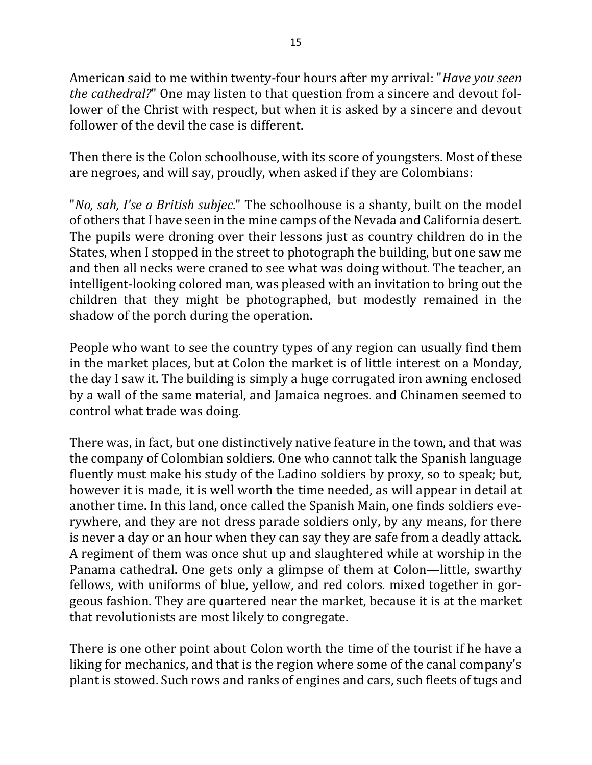American said to me within twenty-four hours after my arrival: "*Have you seen the cathedral?*" One may listen to that question from a sincere and devout follower of the Christ with respect, but when it is asked by a sincere and devout follower of the devil the case is different.

Then there is the Colon schoolhouse, with its score of youngsters. Most of these are negroes, and will say, proudly, when asked if they are Colombians:

"*No, sah, I'se a British subjec*." The schoolhouse is a shanty, built on the model of others that I have seen in the mine camps of the Nevada and California desert. The pupils were droning over their lessons just as country children do in the States, when I stopped in the street to photograph the building, but one saw me and then all necks were craned to see what was doing without. The teacher, an intelligent-looking colored man, was pleased with an invitation to bring out the children that they might be photographed, but modestly remained in the shadow of the porch during the operation.

People who want to see the country types of any region can usually find them in the market places, but at Colon the market is of little interest on a Monday, the day I saw it. The building is simply a huge corrugated iron awning enclosed by a wall of the same material, and Jamaica negroes. and Chinamen seemed to control what trade was doing.

There was, in fact, but one distinctively native feature in the town, and that was the company of Colombian soldiers. One who cannot talk the Spanish language fluently must make his study of the Ladino soldiers by proxy, so to speak; but, however it is made, it is well worth the time needed, as will appear in detail at another time. In this land, once called the Spanish Main, one finds soldiers everywhere, and they are not dress parade soldiers only, by any means, for there is never a day or an hour when they can say they are safe from a deadly attack. A regiment of them was once shut up and slaughtered while at worship in the Panama cathedral. One gets only a glimpse of them at Colon—little, swarthy fellows, with uniforms of blue, yellow, and red colors. mixed together in gorgeous fashion. They are quartered near the market, because it is at the market that revolutionists are most likely to congregate.

There is one other point about Colon worth the time of the tourist if he have a liking for mechanics, and that is the region where some of the canal company's plant is stowed. Such rows and ranks of engines and cars, such fleets of tugs and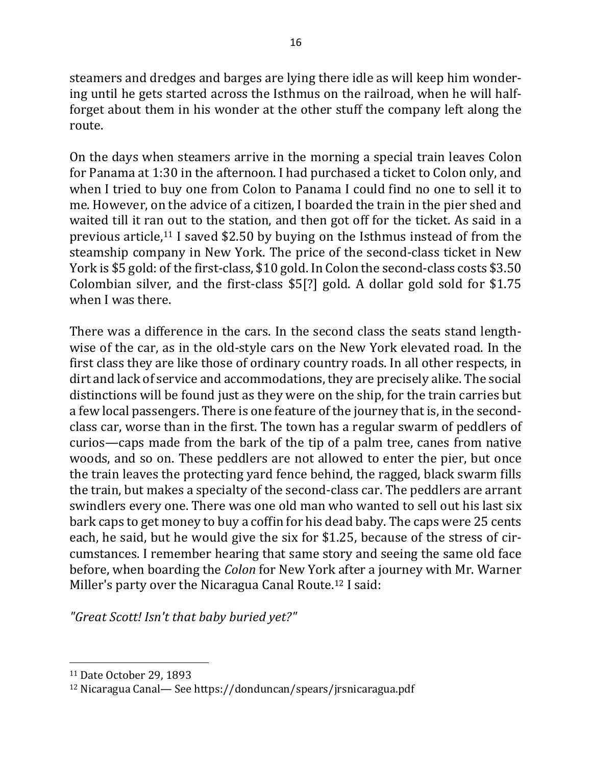steamers and dredges and barges are lying there idle as will keep him wondering until he gets started across the Isthmus on the railroad, when he will halfforget about them in his wonder at the other stuff the company left along the route.

On the days when steamers arrive in the morning a special train leaves Colon for Panama at 1:30 in the afternoon. I had purchased a ticket to Colon only, and when I tried to buy one from Colon to Panama I could find no one to sell it to me. However, on the advice of a citizen, I boarded the train in the pier shed and waited till it ran out to the station, and then got off for the ticket. As said in a previous article,<sup>11</sup> I saved \$2.50 by buying on the Isthmus instead of from the steamship company in New York. The price of the second-class ticket in New York is \$5 gold: of the first-class, \$10 gold. In Colon the second-class costs \$3.50 Colombian silver, and the first-class  $$5[?]$  gold. A dollar gold sold for  $$1.75$ when I was there.

There was a difference in the cars. In the second class the seats stand lengthwise of the car, as in the old-style cars on the New York elevated road. In the first class they are like those of ordinary country roads. In all other respects, in dirt and lack of service and accommodations, they are precisely alike. The social distinctions will be found just as they were on the ship, for the train carries but a few local passengers. There is one feature of the journey that is, in the secondclass car, worse than in the first. The town has a regular swarm of peddlers of curios—caps made from the bark of the tip of a palm tree, canes from native woods, and so on. These peddlers are not allowed to enter the pier, but once the train leaves the protecting yard fence behind, the ragged, black swarm fills the train, but makes a specialty of the second-class car. The peddlers are arrant swindlers every one. There was one old man who wanted to sell out his last six bark caps to get money to buy a coffin for his dead baby. The caps were 25 cents each, he said, but he would give the six for \$1.25, because of the stress of circumstances. I remember hearing that same story and seeing the same old face before, when boarding the *Colon* for New York after a journey with Mr. Warner Miller's party over the Nicaragua Canal Route.<sup>12</sup> I said:

*"Great Scott! Isn't that baby buried yet?"*

<sup>&</sup>lt;sup>11</sup> Date October 29, 1893

<sup>&</sup>lt;sup>12</sup> Nicaragua Canal— See https://donduncan/spears/jrsnicaragua.pdf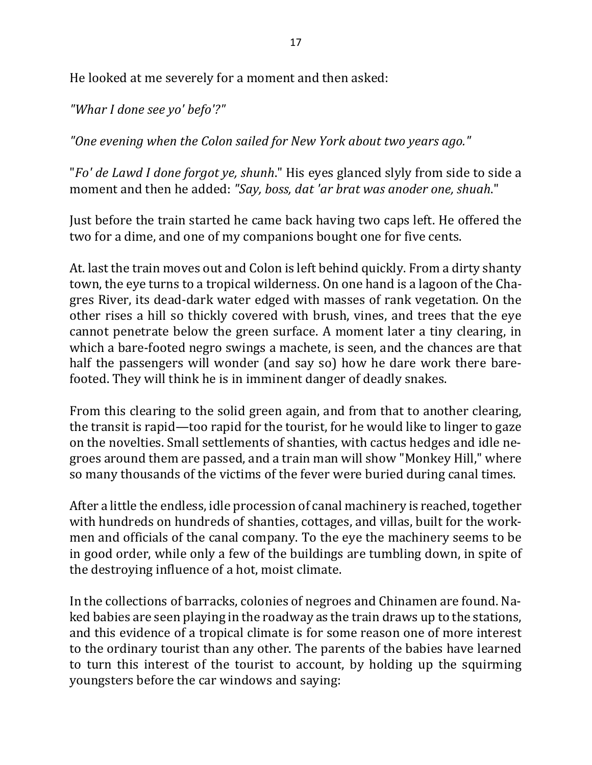He looked at me severely for a moment and then asked:

*"Whar I done see yo' befo'?"*

"One evening when the Colon sailed for New York about two years ago."

"*Fo' de Lawd I done forgot ye, shunh*." His eyes glanced slyly from side to side a moment and then he added: "Say, boss, dat 'ar brat was anoder one, shuah."

Just before the train started he came back having two caps left. He offered the two for a dime, and one of my companions bought one for five cents.

At. last the train moves out and Colon is left behind quickly. From a dirty shanty town, the eye turns to a tropical wilderness. On one hand is a lagoon of the Chagres River, its dead-dark water edged with masses of rank vegetation. On the other rises a hill so thickly covered with brush, vines, and trees that the eye cannot penetrate below the green surface. A moment later a tiny clearing, in which a bare-footed negro swings a machete, is seen, and the chances are that half the passengers will wonder (and say so) how he dare work there barefooted. They will think he is in imminent danger of deadly snakes.

From this clearing to the solid green again, and from that to another clearing, the transit is rapid—too rapid for the tourist, for he would like to linger to gaze on the novelties. Small settlements of shanties, with cactus hedges and idle negroes around them are passed, and a train man will show "Monkey Hill," where so many thousands of the victims of the fever were buried during canal times.

After a little the endless, idle procession of canal machinery is reached, together with hundreds on hundreds of shanties, cottages, and villas, built for the workmen and officials of the canal company. To the eye the machinery seems to be in good order, while only a few of the buildings are tumbling down, in spite of the destroying influence of a hot, moist climate.

In the collections of barracks, colonies of negroes and Chinamen are found. Naked babies are seen playing in the roadway as the train draws up to the stations, and this evidence of a tropical climate is for some reason one of more interest to the ordinary tourist than any other. The parents of the babies have learned to turn this interest of the tourist to account, by holding up the squirming youngsters before the car windows and saying: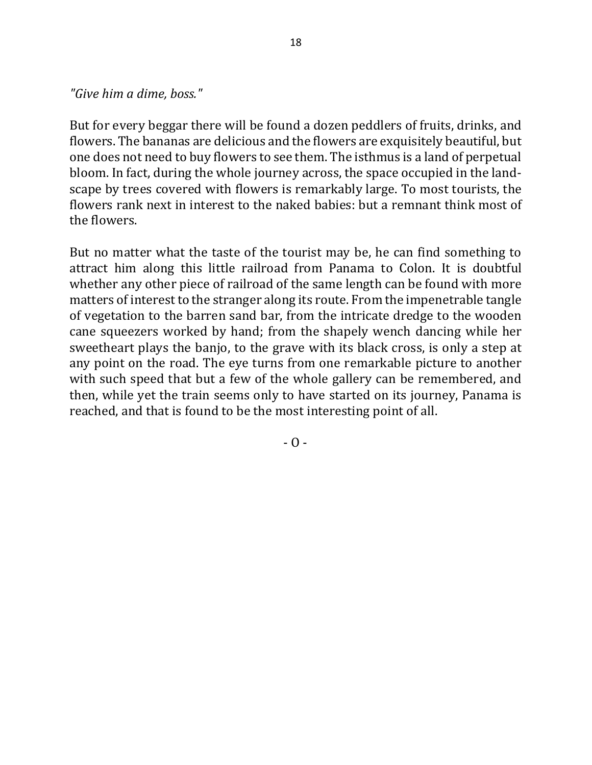*"Give him a dime, boss."*

But for every beggar there will be found a dozen peddlers of fruits, drinks, and flowers. The bananas are delicious and the flowers are exquisitely beautiful, but one does not need to buy flowers to see them. The isthmus is a land of perpetual bloom. In fact, during the whole journey across, the space occupied in the landscape by trees covered with flowers is remarkably large. To most tourists, the flowers rank next in interest to the naked babies: but a remnant think most of the flowers.

But no matter what the taste of the tourist may be, he can find something to attract him along this little railroad from Panama to Colon. It is doubtful whether any other piece of railroad of the same length can be found with more matters of interest to the stranger along its route. From the impenetrable tangle of vegetation to the barren sand bar, from the intricate dredge to the wooden cane squeezers worked by hand; from the shapely wench dancing while her sweetheart plays the banjo, to the grave with its black cross, is only a step at any point on the road. The eye turns from one remarkable picture to another with such speed that but a few of the whole gallery can be remembered, and then, while yet the train seems only to have started on its journey, Panama is reached, and that is found to be the most interesting point of all.

 $-$  O  $-$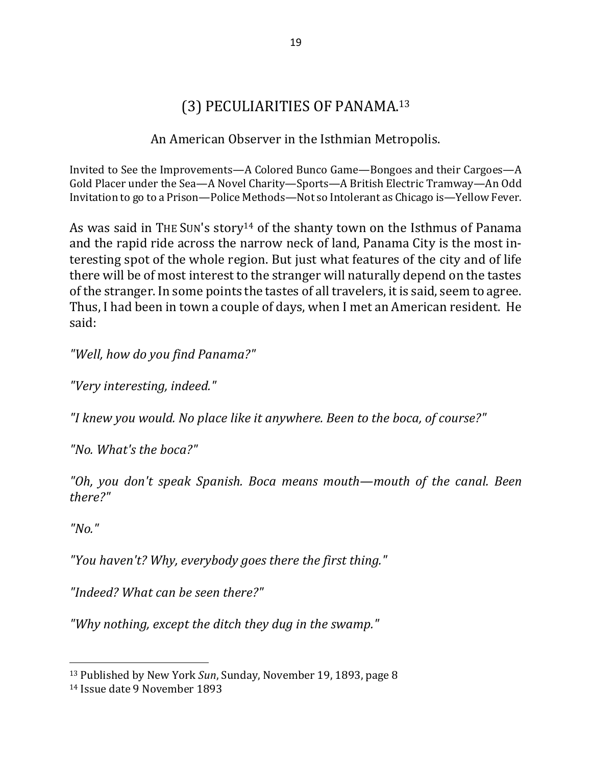# (3) PECULIARITIES OF PANAMA.<sup>13</sup>

# An American Observer in the Isthmian Metropolis.

Invited to See the Improvements—A Colored Bunco Game—Bongoes and their Cargoes—A Gold Placer under the Sea-A Novel Charity-Sports-A British Electric Tramway-An Odd Invitation to go to a Prison—Police Methods—Not so Intolerant as Chicago is—Yellow Fever.

As was said in THE SUN's story<sup>14</sup> of the shanty town on the Isthmus of Panama and the rapid ride across the narrow neck of land, Panama City is the most interesting spot of the whole region. But just what features of the city and of life there will be of most interest to the stranger will naturally depend on the tastes of the stranger. In some points the tastes of all travelers, it is said, seem to agree. Thus, I had been in town a couple of days, when I met an American resident. He said:

*"Well, how do you find Panama?"*

*"Very interesting, indeed."*

*"I knew you would. No place like it anywhere. Been to the boca, of course?"*

*"No. What's the boca?"*

"Oh, you don't speak Spanish. Boca means mouth—mouth of the canal. Been *there?"*

*"No."*

 $\overline{a}$ 

*"You haven't? Why, everybody goes there the first thing."*

*"Indeed? What can be seen there?"*

"Why nothing, except the ditch they dug in the swamp."

<sup>&</sup>lt;sup>13</sup> Published by New York *Sun*, Sunday, November 19, 1893, page 8

<sup>14</sup> Issue date 9 November 1893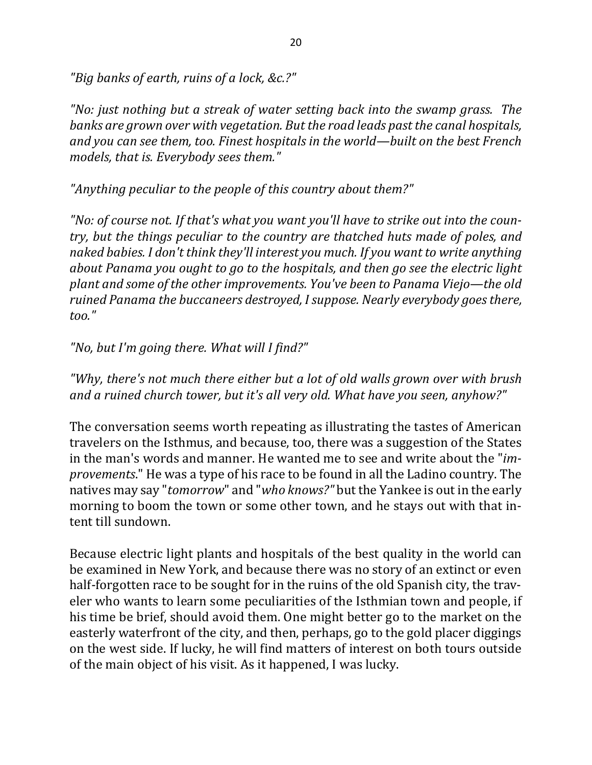"Big banks of earth, ruins of a lock, &c.?"

*"No:* just nothing but a streak of water setting back into the swamp grass. The *banks are grown over with vegetation. But the road leads past the canal hospitals,* and you can see them, too. Finest hospitals in the world—built on the best French models, that is. Everybody sees them."

"Anything peculiar to the people of this country about them?"

"No: of course not. If that's what you want you'll have to strike out into the coun*try, but the things peculiar to the country are thatched huts made of poles, and naked babies.* I don't think they'll interest you much. If you want to write anything *about Panama you ought to go to the hospitals, and then go see the electric light plant and some of the other improvements. You've been to Panama Viejo—the old ruined Panama the buccaneers destroyed, I suppose. Nearly everybody goes there, too."*

*"No, but I'm going there. What will I find?"*

*"Why, there's not much there either but a lot of old walls grown over with brush* and a ruined church tower, but it's all very old. What have you seen, anyhow?"

The conversation seems worth repeating as illustrating the tastes of American travelers on the Isthmus, and because, too, there was a suggestion of the States in the man's words and manner. He wanted me to see and write about the "*improvements*." He was a type of his race to be found in all the Ladino country. The natives may say "*tomorrow*" and "*who knows?"* but the Yankee is out in the early morning to boom the town or some other town, and he stays out with that intent till sundown.

Because electric light plants and hospitals of the best quality in the world can be examined in New York, and because there was no story of an extinct or even half-forgotten race to be sought for in the ruins of the old Spanish city, the traveler who wants to learn some peculiarities of the Isthmian town and people, if his time be brief, should avoid them. One might better go to the market on the easterly waterfront of the city, and then, perhaps, go to the gold placer diggings on the west side. If lucky, he will find matters of interest on both tours outside of the main object of his visit. As it happened, I was lucky.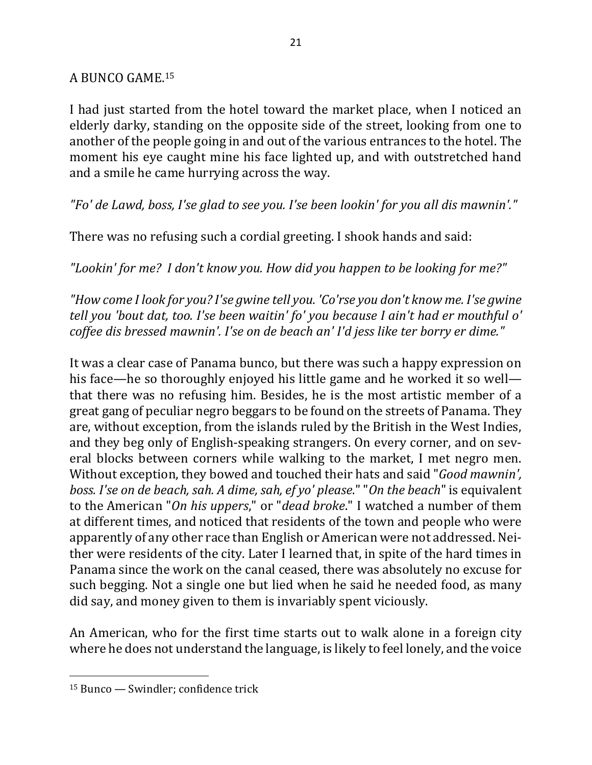### A BUNCO GAME.<sup>15</sup>

I had just started from the hotel toward the market place, when I noticed an elderly darky, standing on the opposite side of the street, looking from one to another of the people going in and out of the various entrances to the hotel. The moment his eye caught mine his face lighted up, and with outstretched hand and a smile he came hurrying across the way.

"Fo' de Lawd, boss, I'se glad to see you. I'se been lookin' for you all dis mawnin'."

There was no refusing such a cordial greeting. I shook hands and said:

*"Lookin' for me? I don't know you. How did you happen to be looking for me?"*

*"How come I look for you? I'se gwine tell you. 'Co'rse you don't know me. I'se gwine tell you 'bout dat, too. I'se been waitin' fo' you because I ain't had er mouthful o' coffee dis bressed mawnin'. I'se on de beach an' I'd jess like ter borry er dime."* 

It was a clear case of Panama bunco, but there was such a happy expression on his face—he so thoroughly enjoyed his little game and he worked it so well that there was no refusing him. Besides, he is the most artistic member of a great gang of peculiar negro beggars to be found on the streets of Panama. They are, without exception, from the islands ruled by the British in the West Indies, and they beg only of English-speaking strangers. On every corner, and on several blocks between corners while walking to the market, I met negro men. Without exception, they bowed and touched their hats and said "*Good mawnin'*, *boss.* I'se on de beach, sah. A dime, sah, ef yo' please." "On the beach" is equivalent to the American "*On his uppers*," or "*dead broke*." I watched a number of them at different times, and noticed that residents of the town and people who were apparently of any other race than English or American were not addressed. Neither were residents of the city. Later I learned that, in spite of the hard times in Panama since the work on the canal ceased, there was absolutely no excuse for such begging. Not a single one but lied when he said he needed food, as many did say, and money given to them is invariably spent viciously.

An American, who for the first time starts out to walk alone in a foreign city where he does not understand the language, is likely to feel lonely, and the voice

 $15$  Bunco  $-$  Swindler; confidence trick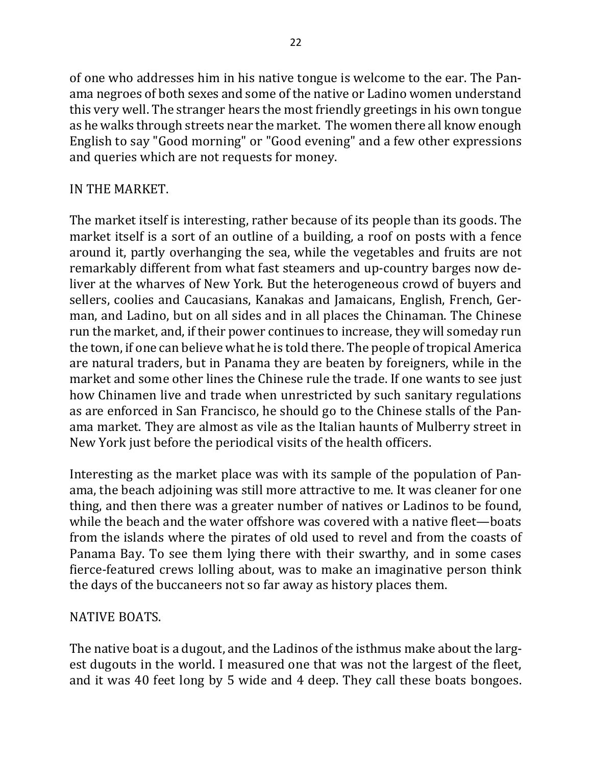of one who addresses him in his native tongue is welcome to the ear. The Panama negroes of both sexes and some of the native or Ladino women understand this very well. The stranger hears the most friendly greetings in his own tongue as he walks through streets near the market. The women there all know enough English to say "Good morning" or "Good evening" and a few other expressions and queries which are not requests for money.

# IN THE MARKET.

The market itself is interesting, rather because of its people than its goods. The market itself is a sort of an outline of a building, a roof on posts with a fence around it, partly overhanging the sea, while the vegetables and fruits are not remarkably different from what fast steamers and up-country barges now deliver at the wharves of New York. But the heterogeneous crowd of buyers and sellers, coolies and Caucasians, Kanakas and Jamaicans, English, French, German, and Ladino, but on all sides and in all places the Chinaman. The Chinese run the market, and, if their power continues to increase, they will someday run the town, if one can believe what he is told there. The people of tropical America are natural traders, but in Panama they are beaten by foreigners, while in the market and some other lines the Chinese rule the trade. If one wants to see just how Chinamen live and trade when unrestricted by such sanitary regulations as are enforced in San Francisco, he should go to the Chinese stalls of the Panama market. They are almost as vile as the Italian haunts of Mulberry street in New York just before the periodical visits of the health officers.

Interesting as the market place was with its sample of the population of Panama, the beach adjoining was still more attractive to me. It was cleaner for one thing, and then there was a greater number of natives or Ladinos to be found, while the beach and the water offshore was covered with a native fleet—boats from the islands where the pirates of old used to revel and from the coasts of Panama Bay. To see them lying there with their swarthy, and in some cases fierce-featured crews lolling about, was to make an imaginative person think the days of the buccaneers not so far away as history places them.

### **NATIVE BOATS.**

The native boat is a dugout, and the Ladinos of the isthmus make about the largest dugouts in the world. I measured one that was not the largest of the fleet, and it was 40 feet long by 5 wide and 4 deep. They call these boats bongoes.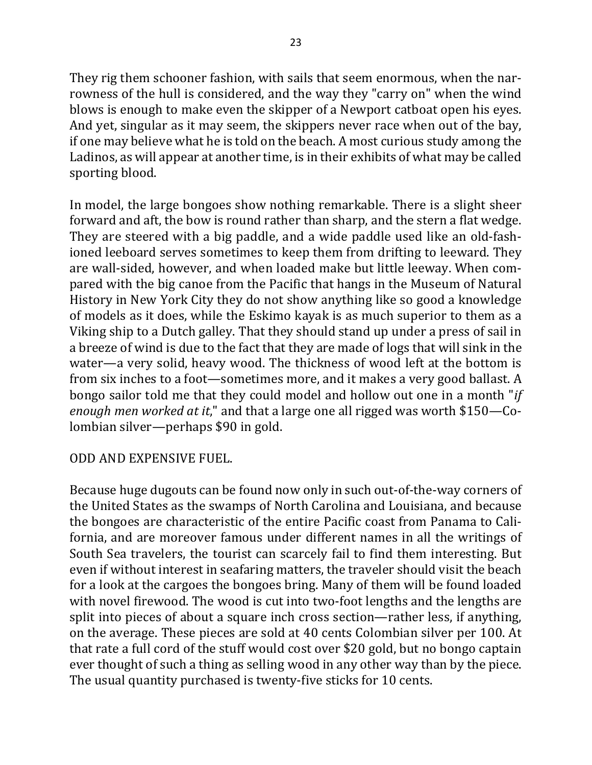They rig them schooner fashion, with sails that seem enormous, when the narrowness of the hull is considered, and the way they "carry on" when the wind blows is enough to make even the skipper of a Newport catboat open his eyes. And yet, singular as it may seem, the skippers never race when out of the bay, if one may believe what he is told on the beach. A most curious study among the Ladinos, as will appear at another time, is in their exhibits of what may be called sporting blood.

In model, the large bongoes show nothing remarkable. There is a slight sheer forward and aft, the bow is round rather than sharp, and the stern a flat wedge. They are steered with a big paddle, and a wide paddle used like an old-fashioned leeboard serves sometimes to keep them from drifting to leeward. They are wall-sided, however, and when loaded make but little leeway. When compared with the big canoe from the Pacific that hangs in the Museum of Natural History in New York City they do not show anything like so good a knowledge of models as it does, while the Eskimo kayak is as much superior to them as a Viking ship to a Dutch galley. That they should stand up under a press of sail in a breeze of wind is due to the fact that they are made of logs that will sink in the water—a very solid, heavy wood. The thickness of wood left at the bottom is from six inches to a foot—sometimes more, and it makes a very good ballast. A bongo sailor told me that they could model and hollow out one in a month "*if enough men worked at it*," and that a large one all rigged was worth \$150-Colombian silver—perhaps \$90 in gold.

### ODD AND EXPENSIVE FUEL.

Because huge dugouts can be found now only in such out-of-the-way corners of the United States as the swamps of North Carolina and Louisiana, and because the bongoes are characteristic of the entire Pacific coast from Panama to California, and are moreover famous under different names in all the writings of South Sea travelers, the tourist can scarcely fail to find them interesting. But even if without interest in seafaring matters, the traveler should visit the beach for a look at the cargoes the bongoes bring. Many of them will be found loaded with novel firewood. The wood is cut into two-foot lengths and the lengths are split into pieces of about a square inch cross section—rather less, if anything, on the average. These pieces are sold at 40 cents Colombian silver per 100. At that rate a full cord of the stuff would cost over \$20 gold, but no bongo captain ever thought of such a thing as selling wood in any other way than by the piece. The usual quantity purchased is twenty-five sticks for 10 cents.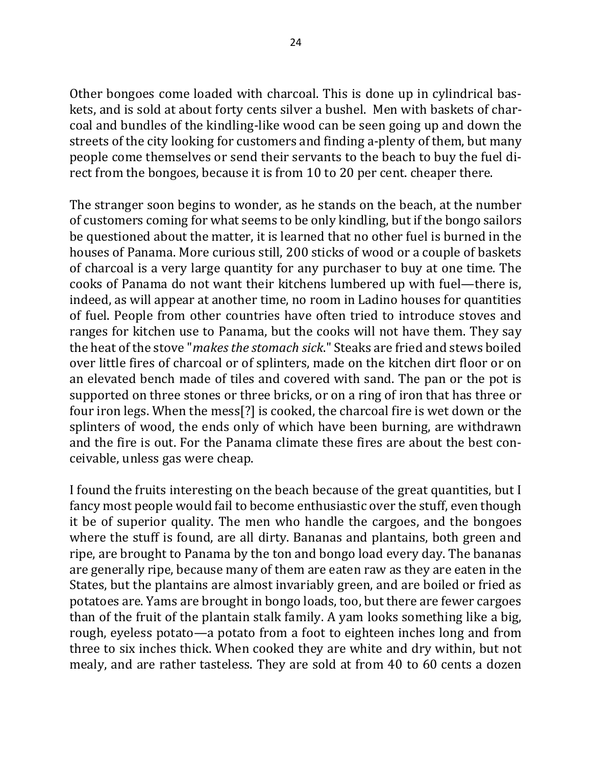Other bongoes come loaded with charcoal. This is done up in cylindrical baskets, and is sold at about forty cents silver a bushel. Men with baskets of charcoal and bundles of the kindling-like wood can be seen going up and down the streets of the city looking for customers and finding a-plenty of them, but many people come themselves or send their servants to the beach to buy the fuel direct from the bongoes, because it is from 10 to 20 per cent. cheaper there.

The stranger soon begins to wonder, as he stands on the beach, at the number of customers coming for what seems to be only kindling, but if the bongo sailors be questioned about the matter, it is learned that no other fuel is burned in the houses of Panama. More curious still, 200 sticks of wood or a couple of baskets of charcoal is a very large quantity for any purchaser to buy at one time. The cooks of Panama do not want their kitchens lumbered up with fuel—there is, indeed, as will appear at another time, no room in Ladino houses for quantities of fuel. People from other countries have often tried to introduce stoves and ranges for kitchen use to Panama, but the cooks will not have them. They say the heat of the stove "*makes the stomach sick*." Steaks are fried and stews boiled over little fires of charcoal or of splinters, made on the kitchen dirt floor or on an elevated bench made of tiles and covered with sand. The pan or the pot is supported on three stones or three bricks, or on a ring of iron that has three or four iron legs. When the mess[?] is cooked, the charcoal fire is wet down or the splinters of wood, the ends only of which have been burning, are withdrawn and the fire is out. For the Panama climate these fires are about the best conceivable, unless gas were cheap.

I found the fruits interesting on the beach because of the great quantities, but I fancy most people would fail to become enthusiastic over the stuff, even though it be of superior quality. The men who handle the cargoes, and the bongoes where the stuff is found, are all dirty. Bananas and plantains, both green and ripe, are brought to Panama by the ton and bongo load every day. The bananas are generally ripe, because many of them are eaten raw as they are eaten in the States, but the plantains are almost invariably green, and are boiled or fried as potatoes are. Yams are brought in bongo loads, too, but there are fewer cargoes than of the fruit of the plantain stalk family. A yam looks something like a big, rough, eyeless potato—a potato from a foot to eighteen inches long and from three to six inches thick. When cooked they are white and dry within, but not mealy, and are rather tasteless. They are sold at from 40 to 60 cents a dozen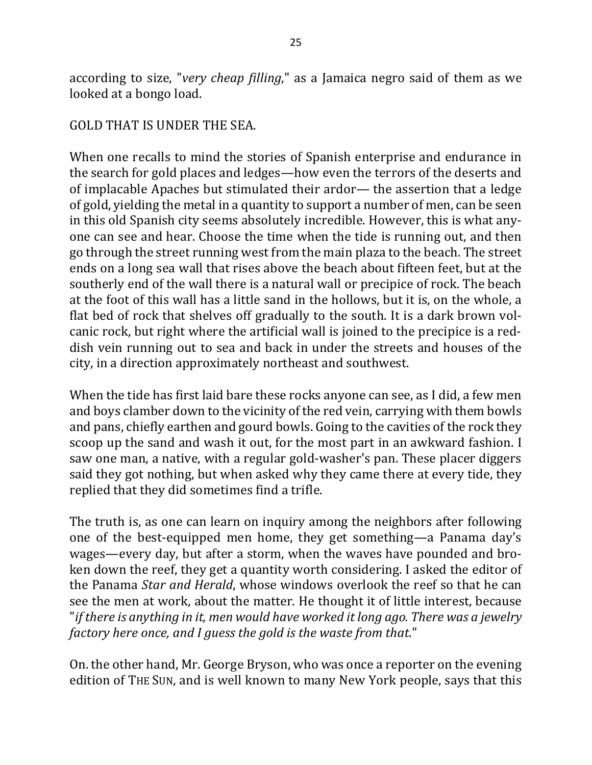according to size, "very cheap filling," as a Jamaica negro said of them as we looked at a bongo load.

#### GOLD THAT IS UNDER THE SEA.

When one recalls to mind the stories of Spanish enterprise and endurance in the search for gold places and ledges—how even the terrors of the deserts and of implacable Apaches but stimulated their ardor— the assertion that a ledge of gold, yielding the metal in a quantity to support a number of men, can be seen in this old Spanish city seems absolutely incredible. However, this is what anyone can see and hear. Choose the time when the tide is running out, and then go through the street running west from the main plaza to the beach. The street ends on a long sea wall that rises above the beach about fifteen feet, but at the southerly end of the wall there is a natural wall or precipice of rock. The beach at the foot of this wall has a little sand in the hollows, but it is, on the whole, a flat bed of rock that shelves off gradually to the south. It is a dark brown volcanic rock, but right where the artificial wall is joined to the precipice is a reddish vein running out to sea and back in under the streets and houses of the city, in a direction approximately northeast and southwest.

When the tide has first laid bare these rocks anyone can see, as I did, a few men and boys clamber down to the vicinity of the red vein, carrying with them bowls and pans, chiefly earthen and gourd bowls. Going to the cavities of the rock they scoop up the sand and wash it out, for the most part in an awkward fashion. I saw one man, a native, with a regular gold-washer's pan. These placer diggers said they got nothing, but when asked why they came there at every tide, they replied that they did sometimes find a trifle.

The truth is, as one can learn on inquiry among the neighbors after following one of the best-equipped men home, they get something—a Panama day's wages—every day, but after a storm, when the waves have pounded and broken down the reef, they get a quantity worth considering. I asked the editor of the Panama *Star and Herald*, whose windows overlook the reef so that he can see the men at work, about the matter. He thought it of little interest, because "*if* there is anything in it, men would have worked it long ago. There was a jewelry *factory here once, and I guess the gold is the waste from that."* 

On. the other hand, Mr. George Bryson, who was once a reporter on the evening edition of THE SUN, and is well known to many New York people, says that this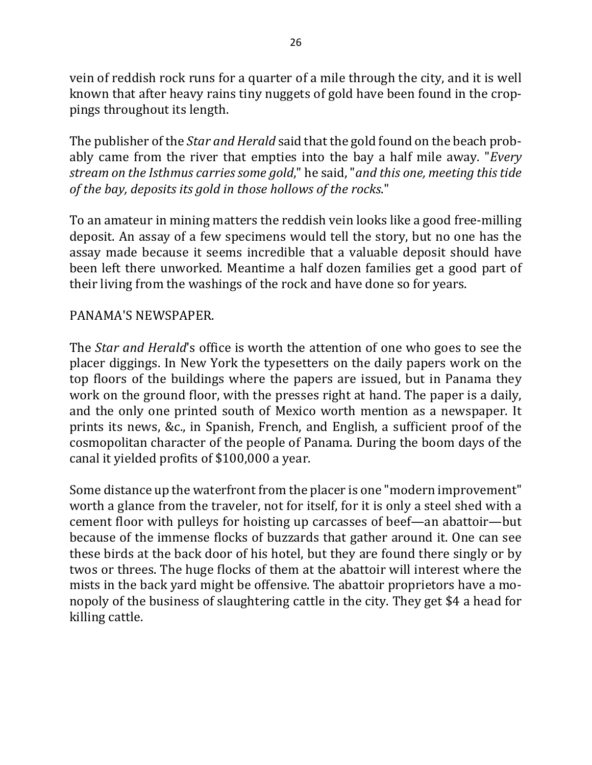vein of reddish rock runs for a quarter of a mile through the city, and it is well known that after heavy rains tiny nuggets of gold have been found in the croppings throughout its length.

The publisher of the *Star and Herald* said that the gold found on the beach probably came from the river that empties into the bay a half mile away. "*Every stream* on the Isthmus carries some gold," he said, "and this one, meeting this tide of the bay, deposits its gold in those hollows of the rocks."

To an amateur in mining matters the reddish vein looks like a good free-milling deposit. An assay of a few specimens would tell the story, but no one has the assay made because it seems incredible that a valuable deposit should have been left there unworked. Meantime a half dozen families get a good part of their living from the washings of the rock and have done so for years.

### PANAMA'S NEWSPAPER.

The *Star and Herald*'s office is worth the attention of one who goes to see the placer diggings. In New York the typesetters on the daily papers work on the top floors of the buildings where the papers are issued, but in Panama they work on the ground floor, with the presses right at hand. The paper is a daily, and the only one printed south of Mexico worth mention as a newspaper. It prints its news, &c., in Spanish, French, and English, a sufficient proof of the cosmopolitan character of the people of Panama. During the boom days of the canal it yielded profits of \$100,000 a year.

Some distance up the waterfront from the placer is one "modern improvement" worth a glance from the traveler, not for itself, for it is only a steel shed with a cement floor with pulleys for hoisting up carcasses of beef—an abattoir—but because of the immense flocks of buzzards that gather around it. One can see these birds at the back door of his hotel, but they are found there singly or by twos or threes. The huge flocks of them at the abattoir will interest where the mists in the back yard might be offensive. The abattoir proprietors have a monopoly of the business of slaughtering cattle in the city. They get \$4 a head for killing cattle.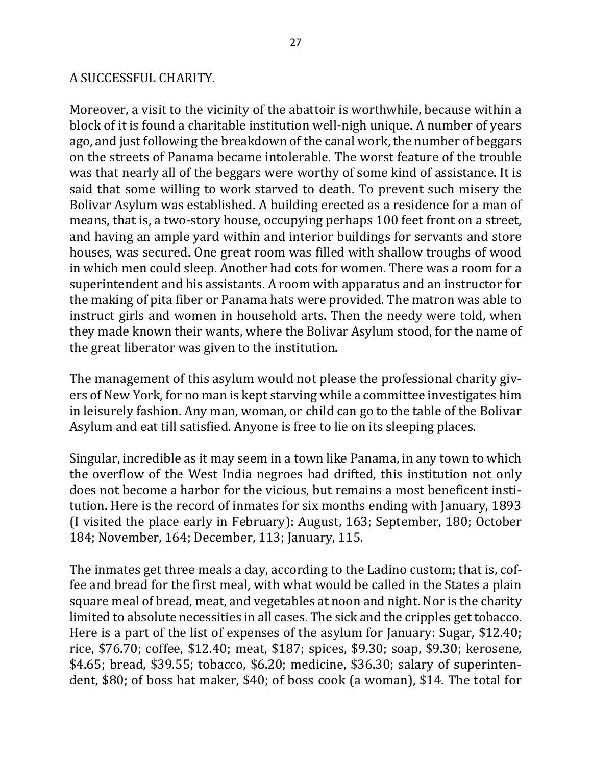### A SUCCESSFUL CHARITY.

Moreover, a visit to the vicinity of the abattoir is worthwhile, because within a block of it is found a charitable institution well-nigh unique. A number of years ago, and just following the breakdown of the canal work, the number of beggars on the streets of Panama became intolerable. The worst feature of the trouble was that nearly all of the beggars were worthy of some kind of assistance. It is said that some willing to work starved to death. To prevent such misery the Bolivar Asylum was established. A building erected as a residence for a man of means, that is, a two-story house, occupying perhaps 100 feet front on a street, and having an ample yard within and interior buildings for servants and store houses, was secured. One great room was filled with shallow troughs of wood in which men could sleep. Another had cots for women. There was a room for a superintendent and his assistants. A room with apparatus and an instructor for the making of pita fiber or Panama hats were provided. The matron was able to instruct girls and women in household arts. Then the needy were told, when they made known their wants, where the Bolivar Asylum stood, for the name of the great liberator was given to the institution.

The management of this asylum would not please the professional charity givers of New York, for no man is kept starving while a committee investigates him in leisurely fashion. Any man, woman, or child can go to the table of the Bolivar Asylum and eat till satisfied. Anyone is free to lie on its sleeping places.

Singular, incredible as it may seem in a town like Panama, in any town to which the overflow of the West India negroes had drifted, this institution not only does not become a harbor for the vicious, but remains a most beneficent institution. Here is the record of inmates for six months ending with January, 1893 (I visited the place early in February): August, 163; September, 180; October 184; November, 164; December, 113; January, 115.

The inmates get three meals a day, according to the Ladino custom; that is, coffee and bread for the first meal, with what would be called in the States a plain square meal of bread, meat, and vegetables at noon and night. Nor is the charity limited to absolute necessities in all cases. The sick and the cripples get tobacco. Here is a part of the list of expenses of the asylum for January: Sugar,  $$12.40$ ; rice, \$76.70; coffee, \$12.40; meat, \$187; spices, \$9.30; soap, \$9.30; kerosene,  $$4.65$ ; bread,  $$39.55$ ; tobacco,  $$6.20$ ; medicine,  $$36.30$ ; salary of superintendent, \$80; of boss hat maker, \$40; of boss cook (a woman), \$14. The total for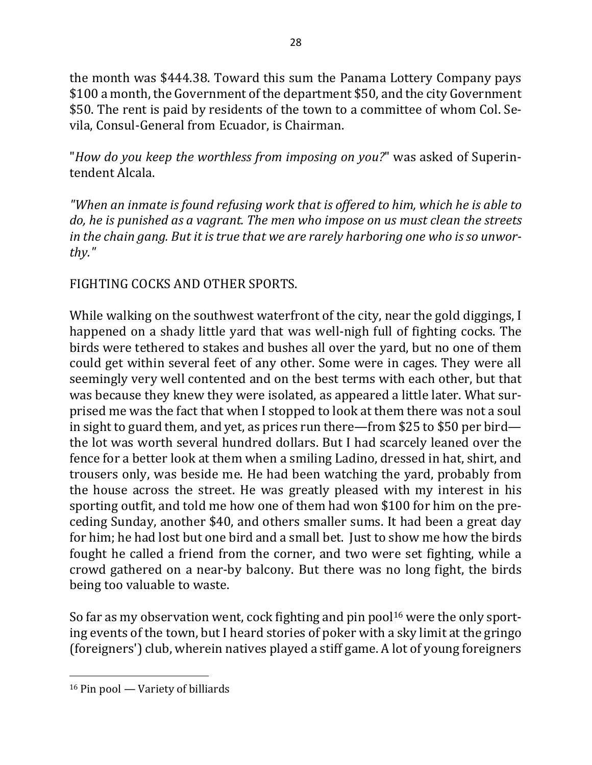the month was \$444.38. Toward this sum the Panama Lottery Company pays \$100 a month, the Government of the department \$50, and the city Government \$50. The rent is paid by residents of the town to a committee of whom Col. Sevila, Consul-General from Ecuador, is Chairman.

"*How do you keep the worthless from imposing on you?*" was asked of Superintendent Alcala.

*"When an inmate is found refusing work that is offered to him, which he is able to do, he is punished as a vagrant. The men who impose on us must clean the streets* in the chain gang. But it is true that we are rarely harboring one who is so unwor*thy."*

# FIGHTING COCKS AND OTHER SPORTS.

While walking on the southwest waterfront of the city, near the gold diggings, I happened on a shady little yard that was well-nigh full of fighting cocks. The birds were tethered to stakes and bushes all over the yard, but no one of them could get within several feet of any other. Some were in cages. They were all seemingly very well contented and on the best terms with each other, but that was because they knew they were isolated, as appeared a little later. What surprised me was the fact that when I stopped to look at them there was not a soul in sight to guard them, and yet, as prices run there—from \$25 to \$50 per bird the lot was worth several hundred dollars. But I had scarcely leaned over the fence for a better look at them when a smiling Ladino, dressed in hat, shirt, and trousers only, was beside me. He had been watching the yard, probably from the house across the street. He was greatly pleased with my interest in his sporting outfit, and told me how one of them had won \$100 for him on the preceding Sunday, another \$40, and others smaller sums. It had been a great day for him; he had lost but one bird and a small bet. Just to show me how the birds fought he called a friend from the corner, and two were set fighting, while a crowd gathered on a near-by balcony. But there was no long fight, the birds being too valuable to waste.

So far as my observation went, cock fighting and pin pool<sup>16</sup> were the only sporting events of the town, but I heard stories of poker with a sky limit at the gringo (foreigners') club, wherein natives played a stiff game. A lot of young foreigners

 $16$  Pin pool — Variety of billiards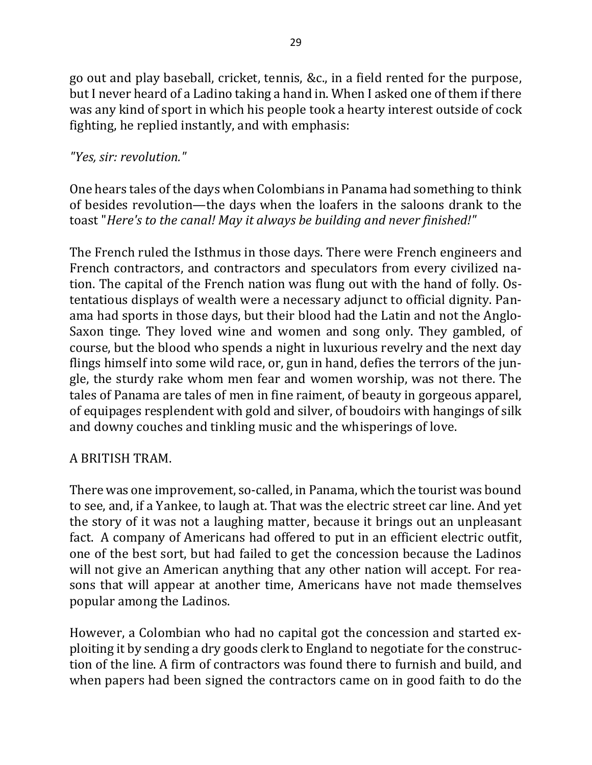go out and play baseball, cricket, tennis, &c., in a field rented for the purpose, but I never heard of a Ladino taking a hand in. When I asked one of them if there was any kind of sport in which his people took a hearty interest outside of cock fighting, he replied instantly, and with emphasis:

## *"Yes, sir: revolution."*

One hears tales of the days when Colombians in Panama had something to think of besides revolution—the days when the loafers in the saloons drank to the toast "*Here's* to the canal! May it always be building and never finished!"

The French ruled the Isthmus in those days. There were French engineers and French contractors, and contractors and speculators from every civilized nation. The capital of the French nation was flung out with the hand of folly. Ostentatious displays of wealth were a necessary adjunct to official dignity. Panama had sports in those days, but their blood had the Latin and not the Anglo-Saxon tinge. They loved wine and women and song only. They gambled, of course, but the blood who spends a night in luxurious revelry and the next day flings himself into some wild race, or, gun in hand, defies the terrors of the jungle, the sturdy rake whom men fear and women worship, was not there. The tales of Panama are tales of men in fine raiment, of beauty in gorgeous apparel, of equipages resplendent with gold and silver, of boudoirs with hangings of silk and downy couches and tinkling music and the whisperings of love.

# A BRITISH TRAM.

There was one improvement, so-called, in Panama, which the tourist was bound to see, and, if a Yankee, to laugh at. That was the electric street car line. And yet the story of it was not a laughing matter, because it brings out an unpleasant fact. A company of Americans had offered to put in an efficient electric outfit, one of the best sort, but had failed to get the concession because the Ladinos will not give an American anything that any other nation will accept. For reasons that will appear at another time, Americans have not made themselves popular among the Ladinos.

However, a Colombian who had no capital got the concession and started exploiting it by sending a dry goods clerk to England to negotiate for the construction of the line. A firm of contractors was found there to furnish and build, and when papers had been signed the contractors came on in good faith to do the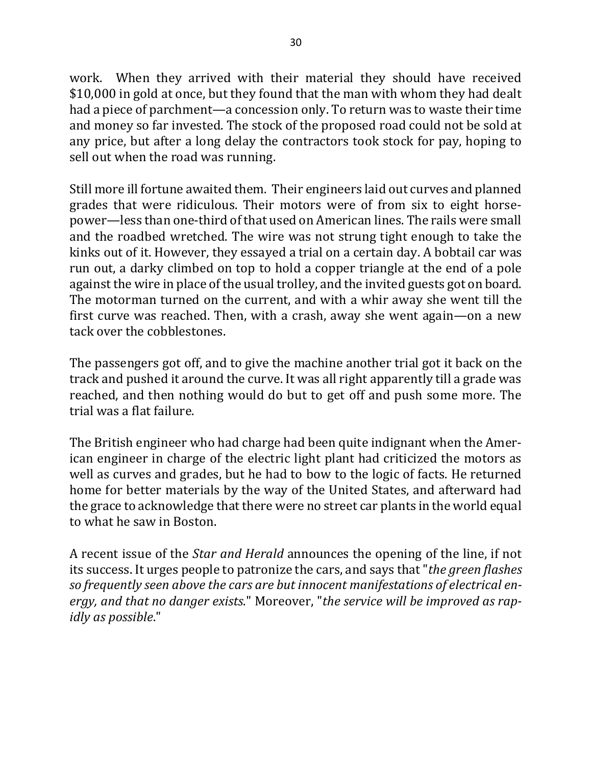work. When they arrived with their material they should have received \$10,000 in gold at once, but they found that the man with whom they had dealt had a piece of parchment—a concession only. To return was to waste their time and money so far invested. The stock of the proposed road could not be sold at any price, but after a long delay the contractors took stock for pay, hoping to sell out when the road was running.

Still more ill fortune awaited them. Their engineers laid out curves and planned grades that were ridiculous. Their motors were of from six to eight horsepower—less than one-third of that used on American lines. The rails were small and the roadbed wretched. The wire was not strung tight enough to take the kinks out of it. However, they essayed a trial on a certain day. A bobtail car was run out, a darky climbed on top to hold a copper triangle at the end of a pole against the wire in place of the usual trolley, and the invited guests got on board. The motorman turned on the current, and with a whir away she went till the first curve was reached. Then, with a crash, away she went again—on a new tack over the cobblestones.

The passengers got off, and to give the machine another trial got it back on the track and pushed it around the curve. It was all right apparently till a grade was reached, and then nothing would do but to get off and push some more. The trial was a flat failure.

The British engineer who had charge had been quite indignant when the American engineer in charge of the electric light plant had criticized the motors as well as curves and grades, but he had to bow to the logic of facts. He returned home for better materials by the way of the United States, and afterward had the grace to acknowledge that there were no street car plants in the world equal to what he saw in Boston.

A recent issue of the *Star and Herald* announces the opening of the line, if not its success. It urges people to patronize the cars, and says that "*the green flashes* so frequently seen above the cars are but innocent manifestations of electrical energy, and that no danger exists." Moreover, "the service will be improved as rap*idly* as possible."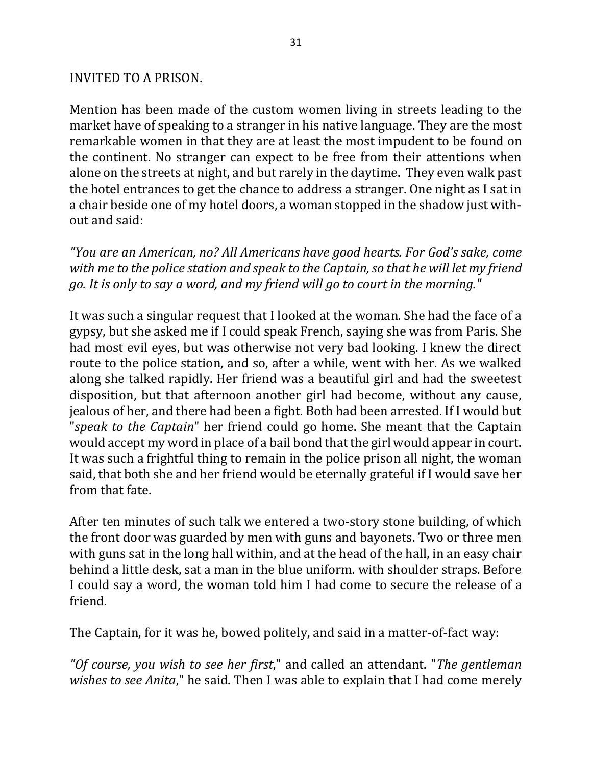#### INVITED TO A PRISON.

Mention has been made of the custom women living in streets leading to the market have of speaking to a stranger in his native language. They are the most remarkable women in that they are at least the most impudent to be found on the continent. No stranger can expect to be free from their attentions when alone on the streets at night, and but rarely in the daytime. They even walk past the hotel entrances to get the chance to address a stranger. One night as I sat in a chair beside one of my hotel doors, a woman stopped in the shadow just without and said:

*"You are an American, no? All Americans have good hearts. For God's sake, come*  with me to the police station and speak to the Captain, so that he will let my friend *go. It is only to say a word, and my friend will go to court in the morning."* 

It was such a singular request that I looked at the woman. She had the face of a gypsy, but she asked me if I could speak French, saying she was from Paris. She had most evil eyes, but was otherwise not very bad looking. I knew the direct route to the police station, and so, after a while, went with her. As we walked along she talked rapidly. Her friend was a beautiful girl and had the sweetest disposition, but that afternoon another girl had become, without any cause, jealous of her, and there had been a fight. Both had been arrested. If I would but *"speak to the Captain*" her friend could go home. She meant that the Captain would accept my word in place of a bail bond that the girl would appear in court. It was such a frightful thing to remain in the police prison all night, the woman said, that both she and her friend would be eternally grateful if I would save her from that fate.

After ten minutes of such talk we entered a two-story stone building, of which the front door was guarded by men with guns and bayonets. Two or three men with guns sat in the long hall within, and at the head of the hall, in an easy chair behind a little desk, sat a man in the blue uniform. with shoulder straps. Before I could say a word, the woman told him I had come to secure the release of a friend.

The Captain, for it was he, bowed politely, and said in a matter-of-fact way:

"Of course, you wish to see her first," and called an attendant. "The gentleman *wishes to see Anita*," he said. Then I was able to explain that I had come merely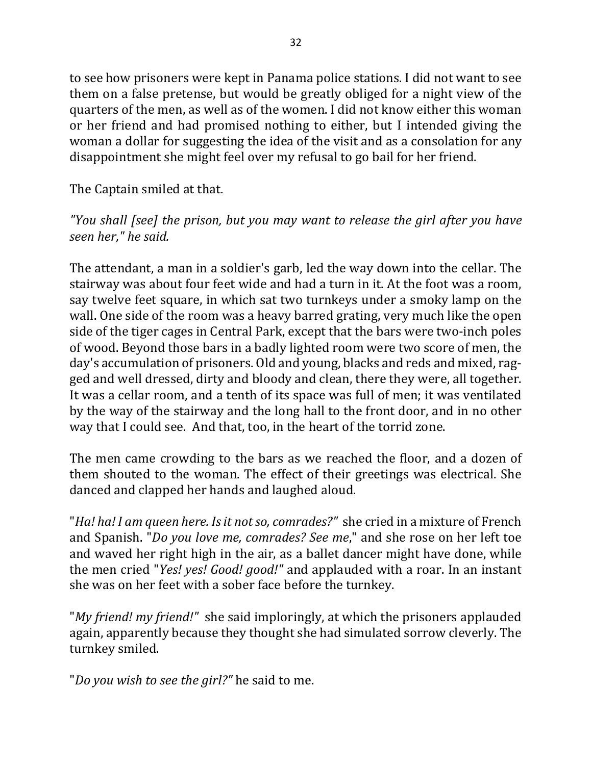to see how prisoners were kept in Panama police stations. I did not want to see them on a false pretense, but would be greatly obliged for a night view of the quarters of the men, as well as of the women. I did not know either this woman or her friend and had promised nothing to either, but I intended giving the woman a dollar for suggesting the idea of the visit and as a consolation for any disappointment she might feel over my refusal to go bail for her friend.

The Captain smiled at that.

# *"You* shall [see] the prison, but you may want to release the girl after you have *seen her," he said.*

The attendant, a man in a soldier's garb, led the way down into the cellar. The stairway was about four feet wide and had a turn in it. At the foot was a room, say twelve feet square, in which sat two turnkeys under a smoky lamp on the wall. One side of the room was a heavy barred grating, very much like the open side of the tiger cages in Central Park, except that the bars were two-inch poles of wood. Beyond those bars in a badly lighted room were two score of men, the day's accumulation of prisoners. Old and young, blacks and reds and mixed, ragged and well dressed, dirty and bloody and clean, there they were, all together. It was a cellar room, and a tenth of its space was full of men; it was ventilated by the way of the stairway and the long hall to the front door, and in no other way that I could see. And that, too, in the heart of the torrid zone.

The men came crowding to the bars as we reached the floor, and a dozen of them shouted to the woman. The effect of their greetings was electrical. She danced and clapped her hands and laughed aloud.

"*Ha! ha! I am queen here. Is it not so, comrades?"* she cried in a mixture of French and Spanish. "*Do you love me, comrades? See me*," and she rose on her left toe and waved her right high in the air, as a ballet dancer might have done, while the men cried "*Yes! yes! Good! good!"* and applauded with a roar. In an instant she was on her feet with a sober face before the turnkey.

"My friend! my friend!" she said imploringly, at which the prisoners applauded again, apparently because they thought she had simulated sorrow cleverly. The turnkey smiled.

"*Do you wish to see the girl?"* he said to me.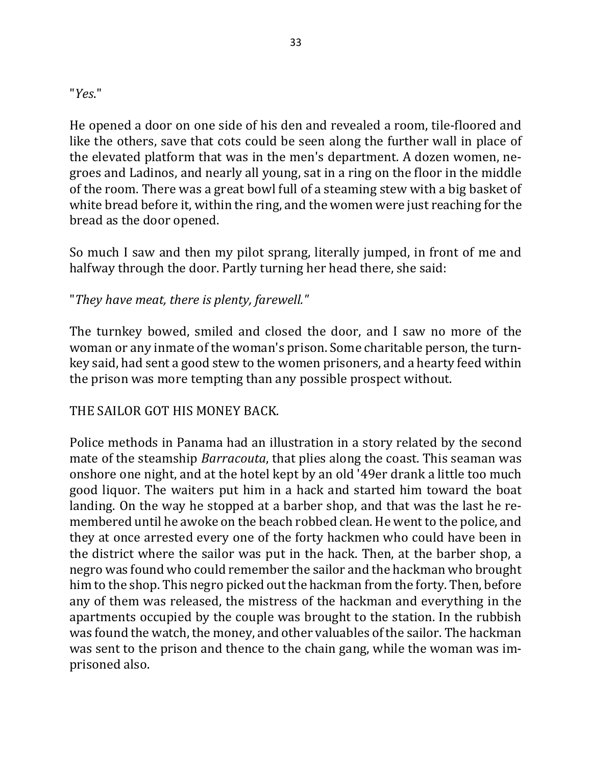"*Yes*."

He opened a door on one side of his den and revealed a room, tile-floored and like the others, save that cots could be seen along the further wall in place of the elevated platform that was in the men's department. A dozen women, negroes and Ladinos, and nearly all young, sat in a ring on the floor in the middle of the room. There was a great bowl full of a steaming stew with a big basket of white bread before it, within the ring, and the women were just reaching for the bread as the door opened.

So much I saw and then my pilot sprang, literally jumped, in front of me and halfway through the door. Partly turning her head there, she said:

# "*They have meat, there is plenty, farewell."*

The turnkey bowed, smiled and closed the door, and I saw no more of the woman or any inmate of the woman's prison. Some charitable person, the turnkey said, had sent a good stew to the women prisoners, and a hearty feed within the prison was more tempting than any possible prospect without.

# THE SAILOR GOT HIS MONEY BACK.

Police methods in Panama had an illustration in a story related by the second mate of the steamship *Barracouta*, that plies along the coast. This seaman was onshore one night, and at the hotel kept by an old '49er drank a little too much good liquor. The waiters put him in a hack and started him toward the boat landing. On the way he stopped at a barber shop, and that was the last he remembered until he awoke on the beach robbed clean. He went to the police, and they at once arrested every one of the forty hackmen who could have been in the district where the sailor was put in the hack. Then, at the barber shop, a negro was found who could remember the sailor and the hackman who brought him to the shop. This negro picked out the hackman from the forty. Then, before any of them was released, the mistress of the hackman and everything in the apartments occupied by the couple was brought to the station. In the rubbish was found the watch, the money, and other valuables of the sailor. The hackman was sent to the prison and thence to the chain gang, while the woman was imprisoned also.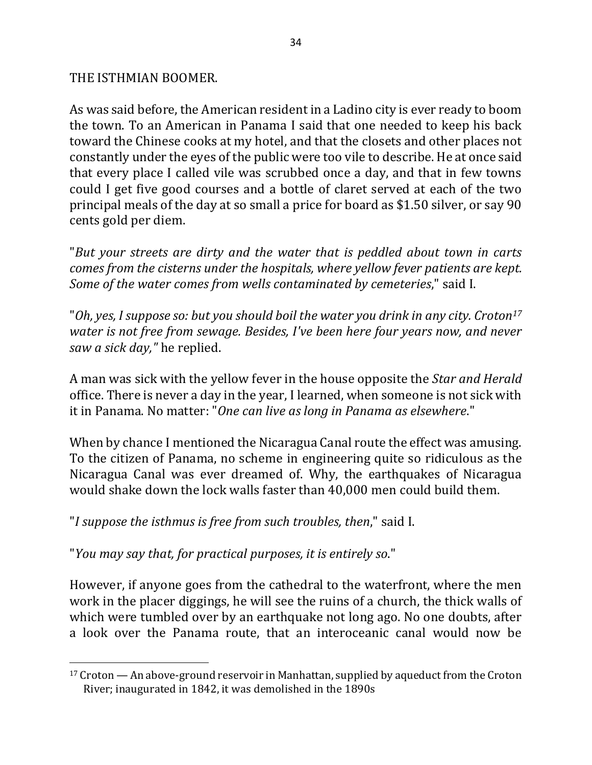#### THE ISTHMIAN BOOMER.

As was said before, the American resident in a Ladino city is ever ready to boom the town. To an American in Panama I said that one needed to keep his back toward the Chinese cooks at my hotel, and that the closets and other places not constantly under the eyes of the public were too vile to describe. He at once said that every place I called vile was scrubbed once a day, and that in few towns could I get five good courses and a bottle of claret served at each of the two principal meals of the day at so small a price for board as \$1.50 silver, or say 90 cents gold per diem.

"*But your streets are dirty and the water that is peddled about town in carts comes from the cisterns under the hospitals, where yellow fever patients are kept. Some of the water comes from wells contaminated by cemeteries*," said I.

"Oh, yes, I suppose so: but you should boil the water you drink in any city. Croton<sup>17</sup> *water is not free from sewage. Besides, I've been here four years now, and never saw a sick day,"* he replied.

A man was sick with the yellow fever in the house opposite the *Star and Herald* office. There is never a day in the year, I learned, when someone is not sick with it in Panama. No matter: "One can live as long in Panama as elsewhere."

When by chance I mentioned the Nicaragua Canal route the effect was amusing. To the citizen of Panama, no scheme in engineering quite so ridiculous as the Nicaragua Canal was ever dreamed of. Why, the earthquakes of Nicaragua would shake down the lock walls faster than 40,000 men could build them.

"*I suppose the isthmus is free from such troubles, then*," said I.

"You may say that, for practical purposes, it is entirely so."

 $\overline{a}$ 

However, if anyone goes from the cathedral to the waterfront, where the men work in the placer diggings, he will see the ruins of a church, the thick walls of which were tumbled over by an earthquake not long ago. No one doubts, after a look over the Panama route, that an interoceanic canal would now be

 $17$  Croton — An above-ground reservoir in Manhattan, supplied by aqueduct from the Croton River; inaugurated in 1842, it was demolished in the 1890s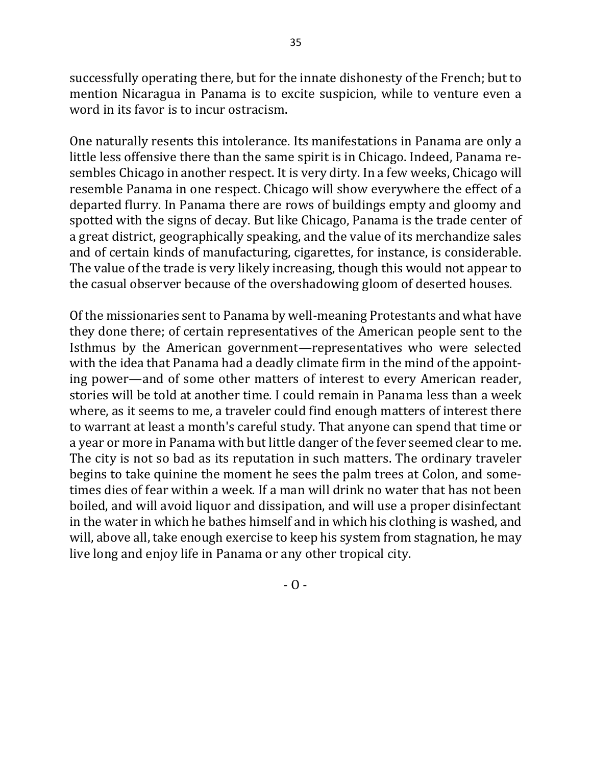successfully operating there, but for the innate dishonesty of the French; but to mention Nicaragua in Panama is to excite suspicion, while to venture even a word in its favor is to incur ostracism.

One naturally resents this intolerance. Its manifestations in Panama are only a little less offensive there than the same spirit is in Chicago. Indeed, Panama resembles Chicago in another respect. It is very dirty. In a few weeks, Chicago will resemble Panama in one respect. Chicago will show everywhere the effect of a departed flurry. In Panama there are rows of buildings empty and gloomy and spotted with the signs of decay. But like Chicago, Panama is the trade center of a great district, geographically speaking, and the value of its merchandize sales and of certain kinds of manufacturing, cigarettes, for instance, is considerable. The value of the trade is very likely increasing, though this would not appear to the casual observer because of the overshadowing gloom of deserted houses.

Of the missionaries sent to Panama by well-meaning Protestants and what have they done there; of certain representatives of the American people sent to the Isthmus by the American government—representatives who were selected with the idea that Panama had a deadly climate firm in the mind of the appointing power—and of some other matters of interest to every American reader, stories will be told at another time. I could remain in Panama less than a week where, as it seems to me, a traveler could find enough matters of interest there to warrant at least a month's careful study. That anyone can spend that time or a year or more in Panama with but little danger of the fever seemed clear to me. The city is not so bad as its reputation in such matters. The ordinary traveler begins to take quinine the moment he sees the palm trees at Colon, and sometimes dies of fear within a week. If a man will drink no water that has not been boiled, and will avoid liquor and dissipation, and will use a proper disinfectant in the water in which he bathes himself and in which his clothing is washed, and will, above all, take enough exercise to keep his system from stagnation, he may live long and enjoy life in Panama or any other tropical city.

 $-$  O  $-$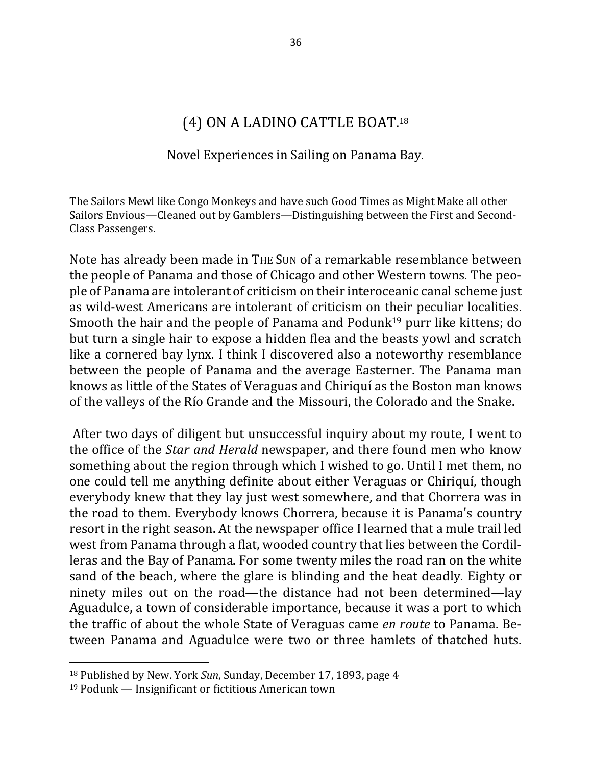# (4) ON A LADINO CATTLE BOAT.<sup>18</sup>

#### Novel Experiences in Sailing on Panama Bay.

The Sailors Mewl like Congo Monkeys and have such Good Times as Might Make all other Sailors Envious—Cleaned out by Gamblers—Distinguishing between the First and Second-Class Passengers.

Note has already been made in THE SUN of a remarkable resemblance between the people of Panama and those of Chicago and other Western towns. The people of Panama are intolerant of criticism on their interoceanic canal scheme just as wild-west Americans are intolerant of criticism on their peculiar localities. Smooth the hair and the people of Panama and Podunk<sup>19</sup> purr like kittens; do but turn a single hair to expose a hidden flea and the beasts yowl and scratch like a cornered bay lynx. I think I discovered also a noteworthy resemblance between the people of Panama and the average Easterner. The Panama man knows as little of the States of Veraguas and Chiriquí as the Boston man knows of the valleys of the Río Grande and the Missouri, the Colorado and the Snake.

After two days of diligent but unsuccessful inquiry about my route, I went to the office of the *Star and Herald* newspaper, and there found men who know something about the region through which I wished to go. Until I met them, no one could tell me anything definite about either Veraguas or Chiriquí, though everybody knew that they lay just west somewhere, and that Chorrera was in the road to them. Everybody knows Chorrera, because it is Panama's country resort in the right season. At the newspaper office I learned that a mule trail led west from Panama through a flat, wooded country that lies between the Cordilleras and the Bay of Panama. For some twenty miles the road ran on the white sand of the beach, where the glare is blinding and the heat deadly. Eighty or ninety miles out on the road—the distance had not been determined—lay Aguadulce, a town of considerable importance, because it was a port to which the traffic of about the whole State of Veraguas came *en route* to Panama. Between Panama and Aguadulce were two or three hamlets of thatched huts.

<sup>&</sup>lt;sup>18</sup> Published by New. York *Sun*, Sunday, December 17, 1893, page 4

 $19$  Podunk — Insignificant or fictitious American town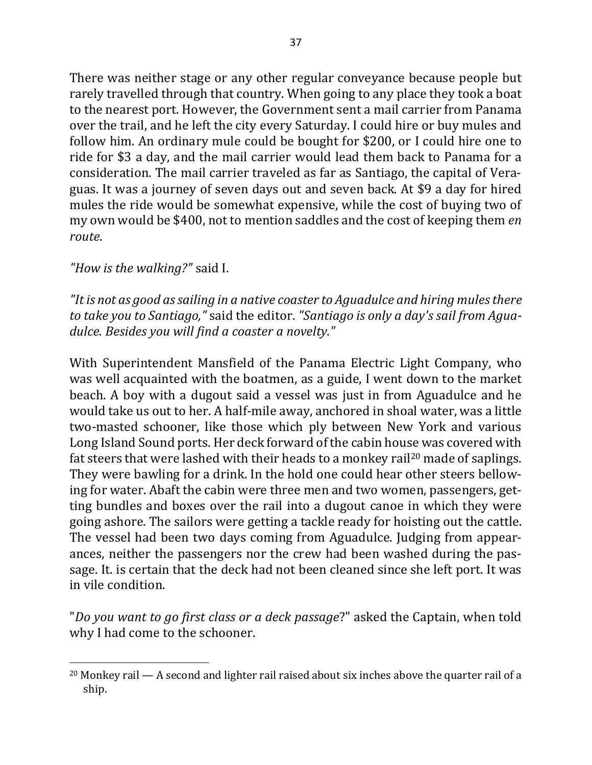There was neither stage or any other regular conveyance because people but rarely travelled through that country. When going to any place they took a boat to the nearest port. However, the Government sent a mail carrier from Panama over the trail, and he left the city every Saturday. I could hire or buy mules and follow him. An ordinary mule could be bought for \$200, or I could hire one to ride for \$3 a day, and the mail carrier would lead them back to Panama for a consideration. The mail carrier traveled as far as Santiago, the capital of Veraguas. It was a journey of seven days out and seven back. At \$9 a day for hired mules the ride would be somewhat expensive, while the cost of buying two of my own would be \$400, not to mention saddles and the cost of keeping them *en route*. 

*"How is the walking?"* said I.

 $\overline{a}$ 

"It is not as good as sailing in a native coaster to Aguadulce and hiring mules there *to take you to Santiago*," said the editor. "Santiago is only a day's sail from Aguadulce. Besides you will find a coaster a novelty."

With Superintendent Mansfield of the Panama Electric Light Company, who was well acquainted with the boatmen, as a guide, I went down to the market beach. A boy with a dugout said a vessel was just in from Aguadulce and he would take us out to her. A half-mile away, anchored in shoal water, was a little two-masted schooner, like those which ply between New York and various Long Island Sound ports. Her deck forward of the cabin house was covered with fat steers that were lashed with their heads to a monkey rail<sup>20</sup> made of saplings. They were bawling for a drink. In the hold one could hear other steers bellowing for water. Abaft the cabin were three men and two women, passengers, getting bundles and boxes over the rail into a dugout canoe in which they were going ashore. The sailors were getting a tackle ready for hoisting out the cattle. The vessel had been two days coming from Aguadulce. Judging from appearances, neither the passengers nor the crew had been washed during the passage. It. is certain that the deck had not been cleaned since she left port. It was in vile condition.

"*Do you want to go first class or a deck passage*?" asked the Captain, when told why I had come to the schooner.

 $20$  Monkey rail  $-$  A second and lighter rail raised about six inches above the quarter rail of a ship.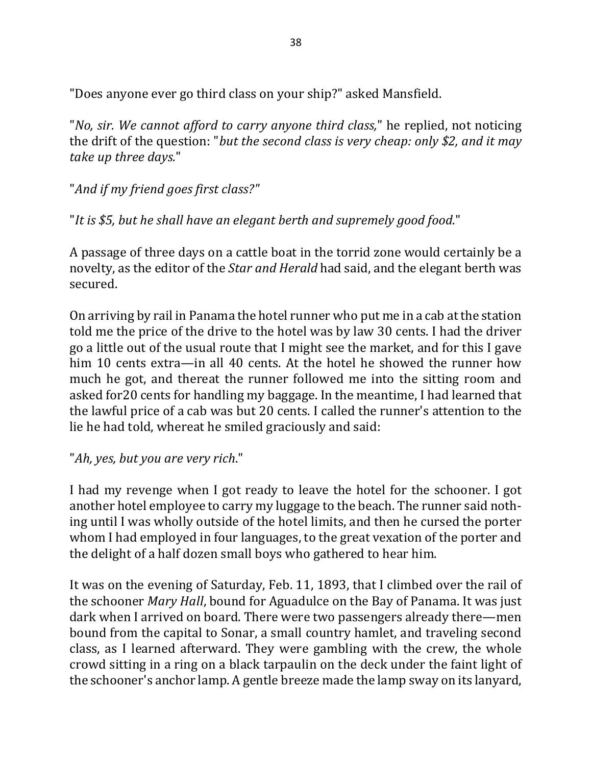"Does anyone ever go third class on your ship?" asked Mansfield.

"*No, sir. We cannot afford to carry anyone third class*," he replied, not noticing the drift of the question: "*but the second class is very cheap: only* \$2, and it may *take up three days.*"

"And if my friend goes first class?"

"It is \$5, but he shall have an elegant berth and supremely good food."

A passage of three days on a cattle boat in the torrid zone would certainly be a novelty, as the editor of the *Star and Herald* had said, and the elegant berth was secured.

On arriving by rail in Panama the hotel runner who put me in a cab at the station told me the price of the drive to the hotel was by law 30 cents. I had the driver go a little out of the usual route that I might see the market, and for this I gave him 10 cents extra—in all 40 cents. At the hotel he showed the runner how much he got, and thereat the runner followed me into the sitting room and asked for 20 cents for handling my baggage. In the meantime, I had learned that the lawful price of a cab was but 20 cents. I called the runner's attention to the lie he had told, whereat he smiled graciously and said:

"*Ah, yes, but you are very rich*."

I had my revenge when I got ready to leave the hotel for the schooner. I got another hotel employee to carry my luggage to the beach. The runner said nothing until I was wholly outside of the hotel limits, and then he cursed the porter whom I had employed in four languages, to the great vexation of the porter and the delight of a half dozen small boys who gathered to hear him.

It was on the evening of Saturday, Feb. 11, 1893, that I climbed over the rail of the schooner *Mary Hall*, bound for Aguadulce on the Bay of Panama. It was just dark when I arrived on board. There were two passengers already there—men bound from the capital to Sonar, a small country hamlet, and traveling second class, as I learned afterward. They were gambling with the crew, the whole crowd sitting in a ring on a black tarpaulin on the deck under the faint light of the schooner's anchor lamp. A gentle breeze made the lamp sway on its lanyard,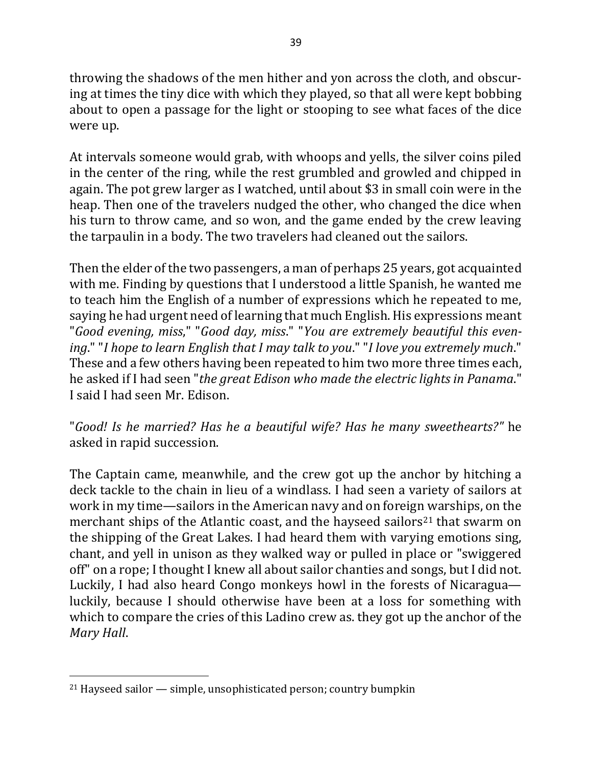throwing the shadows of the men hither and yon across the cloth, and obscuring at times the tiny dice with which they played, so that all were kept bobbing about to open a passage for the light or stooping to see what faces of the dice were up.

At intervals someone would grab, with whoops and yells, the silver coins piled in the center of the ring, while the rest grumbled and growled and chipped in again. The pot grew larger as I watched, until about \$3 in small coin were in the heap. Then one of the travelers nudged the other, who changed the dice when his turn to throw came, and so won, and the game ended by the crew leaving the tarpaulin in a body. The two travelers had cleaned out the sailors.

Then the elder of the two passengers, a man of perhaps 25 years, got acquainted with me. Finding by questions that I understood a little Spanish, he wanted me to teach him the English of a number of expressions which he repeated to me, saying he had urgent need of learning that much English. His expressions meant "Good evening, miss," "Good day, miss." "You are extremely beautiful this even*ing*." "*I* hope to learn English that I may talk to you." "I love you extremely much." These and a few others having been repeated to him two more three times each, he asked if I had seen "*the great Edison who made the electric lights in Panama*." I said I had seen Mr. Edison.

"*Good! Is he married? Has he a beautiful wife? Has he many sweethearts?"* he asked in rapid succession.

The Captain came, meanwhile, and the crew got up the anchor by hitching a deck tackle to the chain in lieu of a windlass. I had seen a variety of sailors at work in my time—sailors in the American navy and on foreign warships, on the merchant ships of the Atlantic coast, and the hayseed sailors<sup>21</sup> that swarm on the shipping of the Great Lakes. I had heard them with varying emotions sing, chant, and yell in unison as they walked way or pulled in place or "swiggered off" on a rope; I thought I knew all about sailor chanties and songs, but I did not. Luckily, I had also heard Congo monkeys howl in the forests of Nicaragua luckily, because I should otherwise have been at a loss for something with which to compare the cries of this Ladino crew as. they got up the anchor of the *Mary Hall*.

 $21$  Hayseed sailor  $-$  simple, unsophisticated person; country bumpkin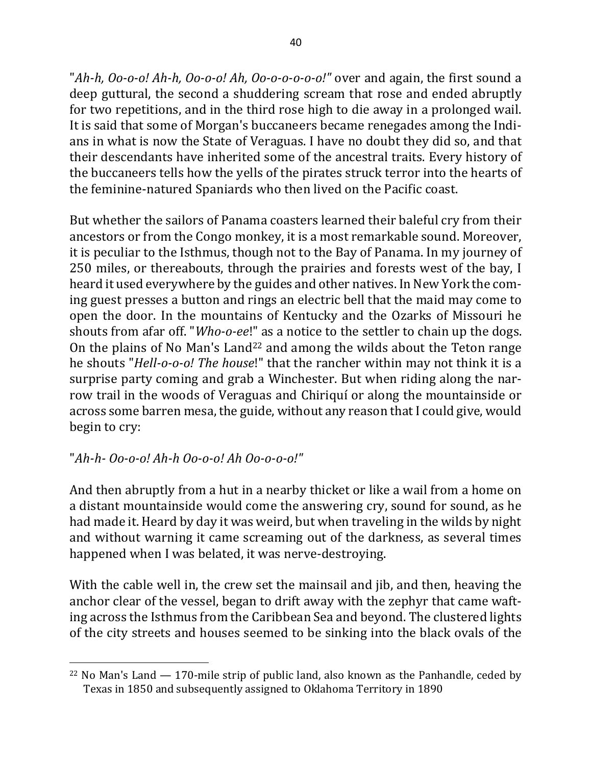"*Ah-h, Oo-o-o! Ah-h, Oo-o-o! Ah, Oo-o-o-o-o-o!*" over and again, the first sound a deep guttural, the second a shuddering scream that rose and ended abruptly for two repetitions, and in the third rose high to die away in a prolonged wail. It is said that some of Morgan's buccaneers became renegades among the Indians in what is now the State of Veraguas. I have no doubt they did so, and that their descendants have inherited some of the ancestral traits. Every history of the buccaneers tells how the yells of the pirates struck terror into the hearts of the feminine-natured Spaniards who then lived on the Pacific coast.

But whether the sailors of Panama coasters learned their baleful cry from their ancestors or from the Congo monkey, it is a most remarkable sound. Moreover, it is peculiar to the Isthmus, though not to the Bay of Panama. In my journey of 250 miles, or thereabouts, through the prairies and forests west of the bay, I heard it used everywhere by the guides and other natives. In New York the coming guest presses a button and rings an electric bell that the maid may come to open the door. In the mountains of Kentucky and the Ozarks of Missouri he shouts from afar off. "*Who-o-ee*!" as a notice to the settler to chain up the dogs. On the plains of No Man's Land<sup>22</sup> and among the wilds about the Teton range he shouts "*Hell-o-o-o! The house!*" that the rancher within may not think it is a surprise party coming and grab a Winchester. But when riding along the narrow trail in the woods of Veraguas and Chiriquí or along the mountainside or across some barren mesa, the guide, without any reason that I could give, would begin to cry:

# "*Ah-h- Oo-o-o! Ah-h Oo-o-o! Ah Oo-o-o-o!"*

 $\overline{a}$ 

And then abruptly from a hut in a nearby thicket or like a wail from a home on a distant mountainside would come the answering cry, sound for sound, as he had made it. Heard by day it was weird, but when traveling in the wilds by night and without warning it came screaming out of the darkness, as several times happened when I was belated, it was nerve-destroying.

With the cable well in, the crew set the mainsail and jib, and then, heaving the anchor clear of the vessel, began to drift away with the zephyr that came wafting across the Isthmus from the Caribbean Sea and beyond. The clustered lights of the city streets and houses seemed to be sinking into the black ovals of the

<sup>&</sup>lt;sup>22</sup> No Man's Land  $-$  170-mile strip of public land, also known as the Panhandle, ceded by Texas in 1850 and subsequently assigned to Oklahoma Territory in 1890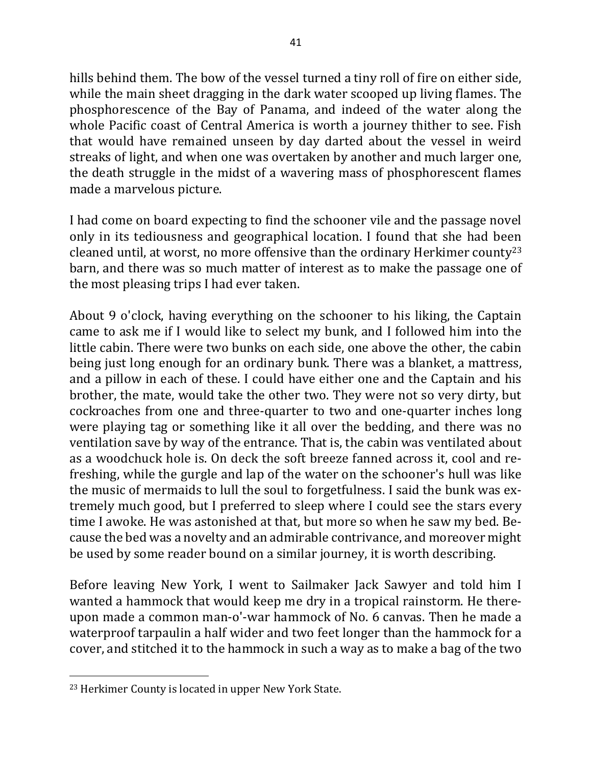hills behind them. The bow of the vessel turned a tiny roll of fire on either side, while the main sheet dragging in the dark water scooped up living flames. The phosphorescence of the Bay of Panama, and indeed of the water along the whole Pacific coast of Central America is worth a journey thither to see. Fish that would have remained unseen by day darted about the vessel in weird streaks of light, and when one was overtaken by another and much larger one, the death struggle in the midst of a wavering mass of phosphorescent flames made a marvelous picture.

I had come on board expecting to find the schooner vile and the passage novel only in its tediousness and geographical location. I found that she had been cleaned until, at worst, no more offensive than the ordinary Herkimer county<sup>23</sup> barn, and there was so much matter of interest as to make the passage one of the most pleasing trips I had ever taken.

About 9 o'clock, having everything on the schooner to his liking, the Captain came to ask me if I would like to select my bunk, and I followed him into the little cabin. There were two bunks on each side, one above the other, the cabin being just long enough for an ordinary bunk. There was a blanket, a mattress, and a pillow in each of these. I could have either one and the Captain and his brother, the mate, would take the other two. They were not so very dirty, but cockroaches from one and three-quarter to two and one-quarter inches long were playing tag or something like it all over the bedding, and there was no ventilation save by way of the entrance. That is, the cabin was ventilated about as a woodchuck hole is. On deck the soft breeze fanned across it, cool and refreshing, while the gurgle and lap of the water on the schooner's hull was like the music of mermaids to lull the soul to forgetfulness. I said the bunk was extremely much good, but I preferred to sleep where I could see the stars every time I awoke. He was astonished at that, but more so when he saw my bed. Because the bed was a novelty and an admirable contrivance, and moreover might be used by some reader bound on a similar journey, it is worth describing.

Before leaving New York, I went to Sailmaker Jack Sawyer and told him I wanted a hammock that would keep me dry in a tropical rainstorm. He thereupon made a common man-o'-war hammock of No. 6 canvas. Then he made a waterproof tarpaulin a half wider and two feet longer than the hammock for a cover, and stitched it to the hammock in such a way as to make a bag of the two

<sup>&</sup>lt;sup>23</sup> Herkimer County is located in upper New York State.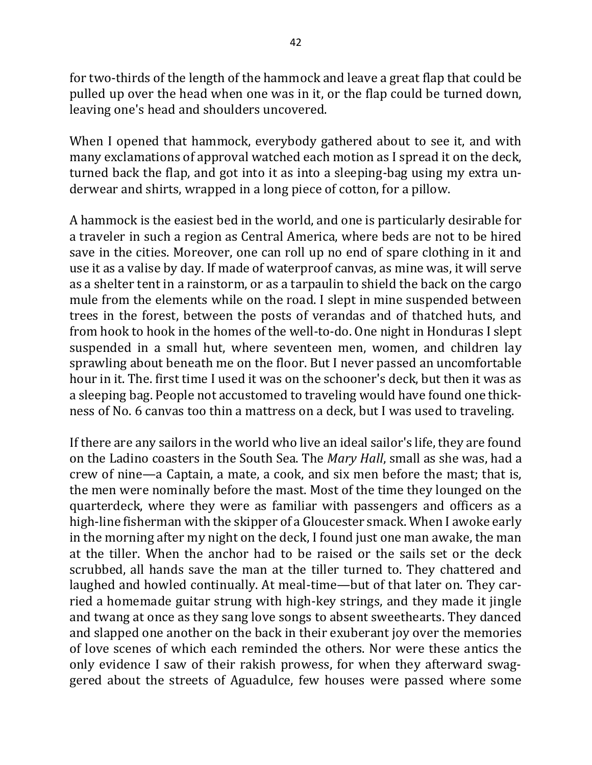for two-thirds of the length of the hammock and leave a great flap that could be pulled up over the head when one was in it, or the flap could be turned down, leaving one's head and shoulders uncovered.

When I opened that hammock, everybody gathered about to see it, and with many exclamations of approval watched each motion as I spread it on the deck, turned back the flap, and got into it as into a sleeping-bag using my extra underwear and shirts, wrapped in a long piece of cotton, for a pillow.

A hammock is the easiest bed in the world, and one is particularly desirable for a traveler in such a region as Central America, where beds are not to be hired save in the cities. Moreover, one can roll up no end of spare clothing in it and use it as a valise by day. If made of waterproof canvas, as mine was, it will serve as a shelter tent in a rainstorm, or as a tarpaulin to shield the back on the cargo mule from the elements while on the road. I slept in mine suspended between trees in the forest, between the posts of verandas and of thatched huts, and from hook to hook in the homes of the well-to-do. One night in Honduras I slept suspended in a small hut, where seventeen men, women, and children lay sprawling about beneath me on the floor. But I never passed an uncomfortable hour in it. The. first time I used it was on the schooner's deck, but then it was as a sleeping bag. People not accustomed to traveling would have found one thickness of No. 6 canvas too thin a mattress on a deck, but I was used to traveling.

If there are any sailors in the world who live an ideal sailor's life, they are found on the Ladino coasters in the South Sea. The *Mary Hall*, small as she was, had a crew of nine—a Captain, a mate, a cook, and six men before the mast; that is, the men were nominally before the mast. Most of the time they lounged on the quarterdeck, where they were as familiar with passengers and officers as a high-line fisherman with the skipper of a Gloucester smack. When I awoke early in the morning after my night on the deck, I found just one man awake, the man at the tiller. When the anchor had to be raised or the sails set or the deck scrubbed, all hands save the man at the tiller turned to. They chattered and laughed and howled continually. At meal-time—but of that later on. They carried a homemade guitar strung with high-key strings, and they made it jingle and twang at once as they sang love songs to absent sweethearts. They danced and slapped one another on the back in their exuberant joy over the memories of love scenes of which each reminded the others. Nor were these antics the only evidence I saw of their rakish prowess, for when they afterward swaggered about the streets of Aguadulce, few houses were passed where some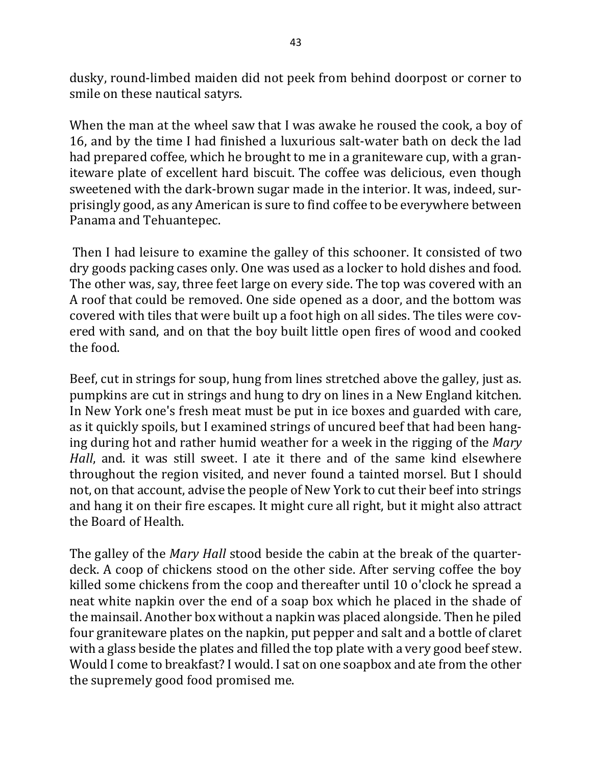dusky, round-limbed maiden did not peek from behind doorpost or corner to smile on these nautical satyrs.

When the man at the wheel saw that I was awake he roused the cook, a boy of 16, and by the time I had finished a luxurious salt-water bath on deck the lad had prepared coffee, which he brought to me in a graniteware cup, with a graniteware plate of excellent hard biscuit. The coffee was delicious, even though sweetened with the dark-brown sugar made in the interior. It was, indeed, surprisingly good, as any American is sure to find coffee to be everywhere between Panama and Tehuantepec.

Then I had leisure to examine the galley of this schooner. It consisted of two dry goods packing cases only. One was used as a locker to hold dishes and food. The other was, say, three feet large on every side. The top was covered with an A roof that could be removed. One side opened as a door, and the bottom was covered with tiles that were built up a foot high on all sides. The tiles were covered with sand, and on that the boy built little open fires of wood and cooked the food.

Beef, cut in strings for soup, hung from lines stretched above the galley, just as. pumpkins are cut in strings and hung to dry on lines in a New England kitchen. In New York one's fresh meat must be put in ice boxes and guarded with care, as it quickly spoils, but I examined strings of uncured beef that had been hanging during hot and rather humid weather for a week in the rigging of the *Mary Hall*, and. it was still sweet. I ate it there and of the same kind elsewhere throughout the region visited, and never found a tainted morsel. But I should not, on that account, advise the people of New York to cut their beef into strings and hang it on their fire escapes. It might cure all right, but it might also attract the Board of Health.

The galley of the *Mary Hall* stood beside the cabin at the break of the quarterdeck. A coop of chickens stood on the other side. After serving coffee the boy killed some chickens from the coop and thereafter until 10 o'clock he spread a neat white napkin over the end of a soap box which he placed in the shade of the mainsail. Another box without a napkin was placed alongside. Then he piled four graniteware plates on the napkin, put pepper and salt and a bottle of claret with a glass beside the plates and filled the top plate with a very good beef stew. Would I come to breakfast? I would. I sat on one soapbox and ate from the other the supremely good food promised me.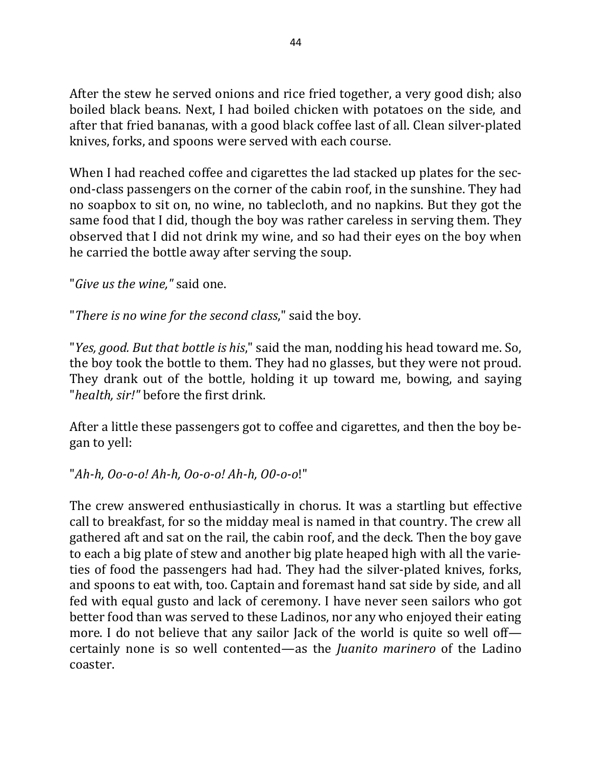After the stew he served onions and rice fried together, a very good dish; also boiled black beans. Next, I had boiled chicken with potatoes on the side, and after that fried bananas, with a good black coffee last of all. Clean silver-plated knives, forks, and spoons were served with each course.

When I had reached coffee and cigarettes the lad stacked up plates for the second-class passengers on the corner of the cabin roof, in the sunshine. They had no soapbox to sit on, no wine, no tablecloth, and no napkins. But they got the same food that I did, though the boy was rather careless in serving them. They observed that I did not drink my wine, and so had their eyes on the boy when he carried the bottle away after serving the soup.

"*Give us the wine*," said one.

"There is no wine for the second class," said the boy.

"*Yes, good. But that bottle is his*," said the man, nodding his head toward me. So, the boy took the bottle to them. They had no glasses, but they were not proud. They drank out of the bottle, holding it up toward me, bowing, and saying "*health, sir!"* before the first drink.

After a little these passengers got to coffee and cigarettes, and then the boy began to yell:

"*Ah-h, Oo-o-o! Ah-h, Oo-o-o! Ah-h, O0-o-o*!"

The crew answered enthusiastically in chorus. It was a startling but effective call to breakfast, for so the midday meal is named in that country. The crew all gathered aft and sat on the rail, the cabin roof, and the deck. Then the boy gave to each a big plate of stew and another big plate heaped high with all the varieties of food the passengers had had. They had the silver-plated knives, forks, and spoons to eat with, too. Captain and foremast hand sat side by side, and all fed with equal gusto and lack of ceremony. I have never seen sailors who got better food than was served to these Ladinos, nor any who enjoyed their eating more. I do not believe that any sailor Jack of the world is quite so well off certainly none is so well contented—as the *Juanito marinero* of the Ladino coaster.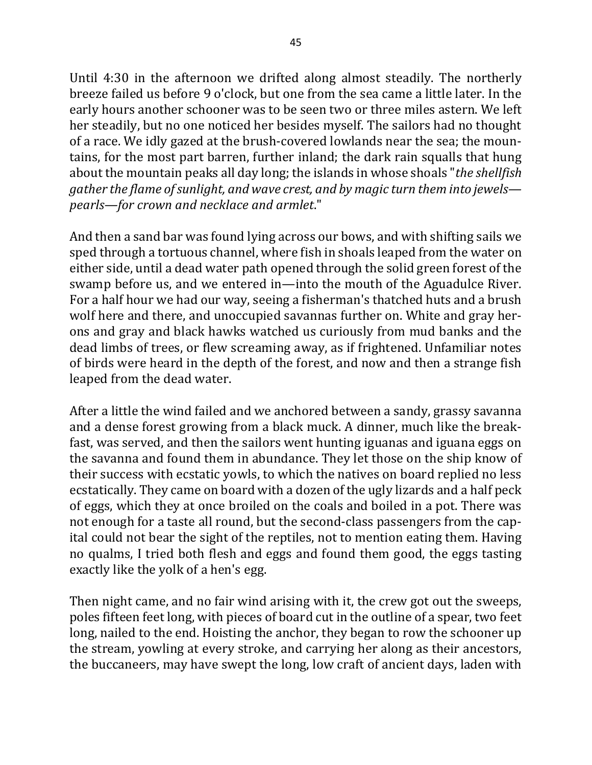Until 4:30 in the afternoon we drifted along almost steadily. The northerly breeze failed us before 9 o'clock, but one from the sea came a little later. In the early hours another schooner was to be seen two or three miles astern. We left her steadily, but no one noticed her besides myself. The sailors had no thought of a race. We idly gazed at the brush-covered lowlands near the sea; the mountains, for the most part barren, further inland; the dark rain squalls that hung about the mountain peaks all day long; the islands in whose shoals "the shellfish *gather* the flame of sunlight, and wave crest, and by magic turn them into jewels *pearls—for crown and necklace and armlet.*"

And then a sand bar was found lying across our bows, and with shifting sails we sped through a tortuous channel, where fish in shoals leaped from the water on either side, until a dead water path opened through the solid green forest of the swamp before us, and we entered in—into the mouth of the Aguadulce River. For a half hour we had our way, seeing a fisherman's thatched huts and a brush wolf here and there, and unoccupied savannas further on. White and gray herons and gray and black hawks watched us curiously from mud banks and the dead limbs of trees, or flew screaming away, as if frightened. Unfamiliar notes of birds were heard in the depth of the forest, and now and then a strange fish leaped from the dead water.

After a little the wind failed and we anchored between a sandy, grassy savanna and a dense forest growing from a black muck. A dinner, much like the breakfast, was served, and then the sailors went hunting iguanas and iguana eggs on the savanna and found them in abundance. They let those on the ship know of their success with ecstatic yowls, to which the natives on board replied no less ecstatically. They came on board with a dozen of the ugly lizards and a half peck of eggs, which they at once broiled on the coals and boiled in a pot. There was not enough for a taste all round, but the second-class passengers from the capital could not bear the sight of the reptiles, not to mention eating them. Having no qualms, I tried both flesh and eggs and found them good, the eggs tasting exactly like the yolk of a hen's egg.

Then night came, and no fair wind arising with it, the crew got out the sweeps, poles fifteen feet long, with pieces of board cut in the outline of a spear, two feet long, nailed to the end. Hoisting the anchor, they began to row the schooner up the stream, yowling at every stroke, and carrying her along as their ancestors, the buccaneers, may have swept the long, low craft of ancient days, laden with